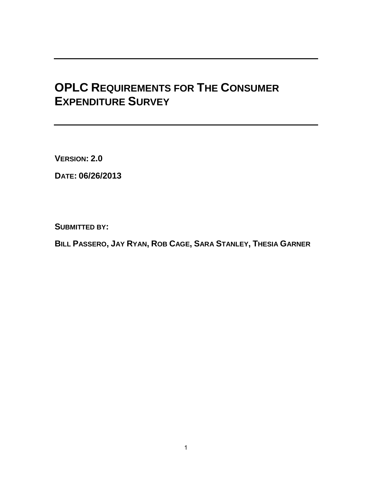# **OPLC REQUIREMENTS FOR THE CONSUMER EXPENDITURE SURVEY**

**VERSION: 2.0**

**DATE: 06/26/2013** 

**SUBMITTED BY:** 

BILL PASSERO, JAY RYAN, ROB CAGE, SARA STANLEY, THESIA GARNER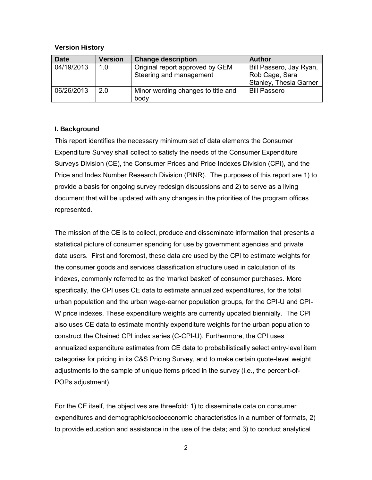#### **Version History**

| <b>Date</b> | <b>Version</b> | <b>Change description</b>          | Author                  |
|-------------|----------------|------------------------------------|-------------------------|
| 04/19/2013  | 1.0            | Original report approved by GEM    | Bill Passero, Jay Ryan, |
|             |                | Steering and management            | Rob Cage, Sara          |
|             |                |                                    | Stanley, Thesia Garner  |
| 06/26/2013  | 2.0            | Minor wording changes to title and | <b>Bill Passero</b>     |
|             |                | body                               |                         |

#### **I. Background**

This report identifies the necessary minimum set of data elements the Consumer Expenditure Survey shall collect to satisfy the needs of the Consumer Expenditure Surveys Division (CE), the Consumer Prices and Price Indexes Division (CPI), and the Price and Index Number Research Division (PINR). The purposes of this report are 1) to provide a basis for ongoing survey redesign discussions and 2) to serve as a living document that will be updated with any changes in the priorities of the program offices represented.

The mission of the CE is to collect, produce and disseminate information that presents a statistical picture of consumer spending for use by government agencies and private data users. First and foremost, these data are used by the CPI to estimate weights for the consumer goods and services classification structure used in calculation of its indexes, commonly referred to as the 'market basket' of consumer purchases. More specifically, the CPI uses CE data to estimate annualized expenditures, for the total urban population and the urban wage-earner population groups, for the CPI-U and CPI-W price indexes. These expenditure weights are currently updated biennially. The CPI also uses CE data to estimate monthly expenditure weights for the urban population to construct the Chained CPI index series (C-CPI-U). Furthermore, the CPI uses annualized expenditure estimates from CE data to probabilistically select entry-level item categories for pricing in its C&S Pricing Survey, and to make certain quote-level weight adjustments to the sample of unique items priced in the survey (i.e., the percent-of-POPs adjustment).

For the CE itself, the objectives are threefold: 1) to disseminate data on consumer expenditures and demographic/socioeconomic characteristics in a number of formats, 2) to provide education and assistance in the use of the data; and 3) to conduct analytical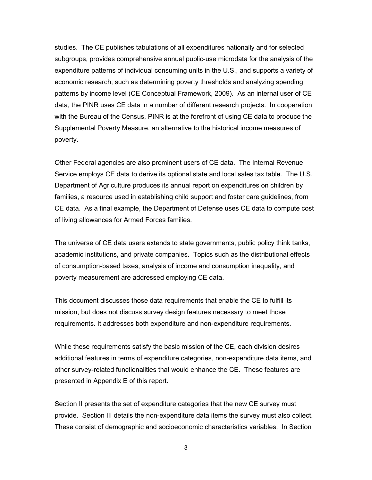studies. The CE publishes tabulations of all expenditures nationally and for selected subgroups, provides comprehensive annual public-use microdata for the analysis of the expenditure patterns of individual consuming units in the U.S., and supports a variety of economic research, such as determining poverty thresholds and analyzing spending patterns by income level (CE Conceptual Framework, 2009). As an internal user of CE data, the PINR uses CE data in a number of different research projects. In cooperation with the Bureau of the Census, PINR is at the forefront of using CE data to produce the Supplemental Poverty Measure, an alternative to the historical income measures of poverty.

Other Federal agencies are also prominent users of CE data. The Internal Revenue Service employs CE data to derive its optional state and local sales tax table. The U.S. Department of Agriculture produces its annual report on expenditures on children by families, a resource used in establishing child support and foster care guidelines, from CE data. As a final example, the Department of Defense uses CE data to compute cost of living allowances for Armed Forces families.

The universe of CE data users extends to state governments, public policy think tanks, academic institutions, and private companies. Topics such as the distributional effects of consumption-based taxes, analysis of income and consumption inequality, and poverty measurement are addressed employing CE data.

This document discusses those data requirements that enable the CE to fulfill its mission, but does not discuss survey design features necessary to meet those requirements. It addresses both expenditure and non-expenditure requirements.

While these requirements satisfy the basic mission of the CE, each division desires additional features in terms of expenditure categories, non-expenditure data items, and other survey-related functionalities that would enhance the CE. These features are presented in Appendix E of this report.

Section II presents the set of expenditure categories that the new CE survey must provide. Section III details the non-expenditure data items the survey must also collect. These consist of demographic and socioeconomic characteristics variables. In Section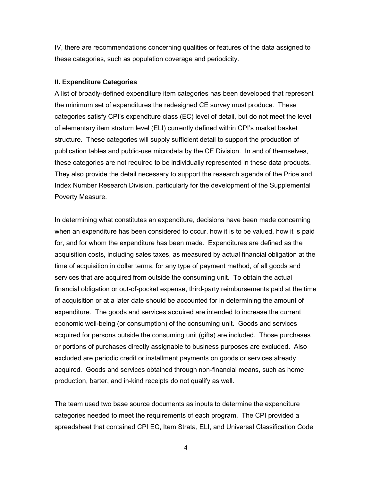IV, there are recommendations concerning qualities or features of the data assigned to these categories, such as population coverage and periodicity.

#### **II. Expenditure Categories**

A list of broadly-defined expenditure item categories has been developed that represent the minimum set of expenditures the redesigned CE survey must produce. These categories satisfy CPI's expenditure class (EC) level of detail, but do not meet the level of elementary item stratum level (ELI) currently defined within CPI's market basket structure. These categories will supply sufficient detail to support the production of publication tables and public-use microdata by the CE Division. In and of themselves, these categories are not required to be individually represented in these data products. They also provide the detail necessary to support the research agenda of the Price and Index Number Research Division, particularly for the development of the Supplemental Poverty Measure.

In determining what constitutes an expenditure, decisions have been made concerning when an expenditure has been considered to occur, how it is to be valued, how it is paid for, and for whom the expenditure has been made. Expenditures are defined as the acquisition costs, including sales taxes, as measured by actual financial obligation at the time of acquisition in dollar terms, for any type of payment method, of all goods and services that are acquired from outside the consuming unit. To obtain the actual financial obligation or out-of-pocket expense, third-party reimbursements paid at the time of acquisition or at a later date should be accounted for in determining the amount of expenditure. The goods and services acquired are intended to increase the current economic well-being (or consumption) of the consuming unit. Goods and services acquired for persons outside the consuming unit (gifts) are included. Those purchases or portions of purchases directly assignable to business purposes are excluded. Also excluded are periodic credit or installment payments on goods or services already acquired. Goods and services obtained through non-financial means, such as home production, barter, and in-kind receipts do not qualify as well.

The team used two base source documents as inputs to determine the expenditure categories needed to meet the requirements of each program. The CPI provided a spreadsheet that contained CPI EC, Item Strata, ELI, and Universal Classification Code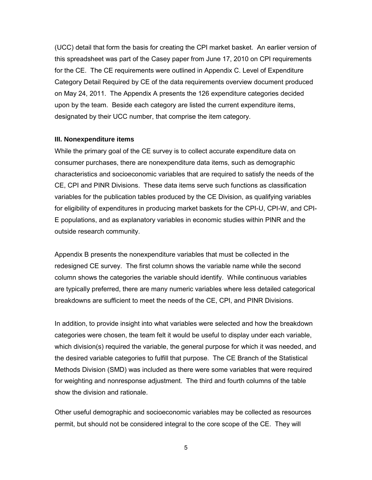(UCC) detail that form the basis for creating the CPI market basket. An earlier version of this spreadsheet was part of the Casey paper from June 17, 2010 on CPI requirements for the CE. The CE requirements were outlined in Appendix C. Level of Expenditure Category Detail Required by CE of the data requirements overview document produced on May 24, 2011. The Appendix A presents the 126 expenditure categories decided upon by the team. Beside each category are listed the current expenditure items, designated by their UCC number, that comprise the item category.

#### **III. Nonexpenditure items**

While the primary goal of the CE survey is to collect accurate expenditure data on consumer purchases, there are nonexpenditure data items, such as demographic characteristics and socioeconomic variables that are required to satisfy the needs of the CE, CPI and PINR Divisions. These data items serve such functions as classification variables for the publication tables produced by the CE Division, as qualifying variables for eligibility of expenditures in producing market baskets for the CPI-U, CPI-W, and CPI-E populations, and as explanatory variables in economic studies within PINR and the outside research community.

Appendix B presents the nonexpenditure variables that must be collected in the redesigned CE survey. The first column shows the variable name while the second column shows the categories the variable should identify. While continuous variables are typically preferred, there are many numeric variables where less detailed categorical breakdowns are sufficient to meet the needs of the CE, CPI, and PINR Divisions.

In addition, to provide insight into what variables were selected and how the breakdown categories were chosen, the team felt it would be useful to display under each variable, which division(s) required the variable, the general purpose for which it was needed, and the desired variable categories to fulfill that purpose. The CE Branch of the Statistical Methods Division (SMD) was included as there were some variables that were required for weighting and nonresponse adjustment. The third and fourth columns of the table show the division and rationale.

Other useful demographic and socioeconomic variables may be collected as resources permit, but should not be considered integral to the core scope of the CE. They will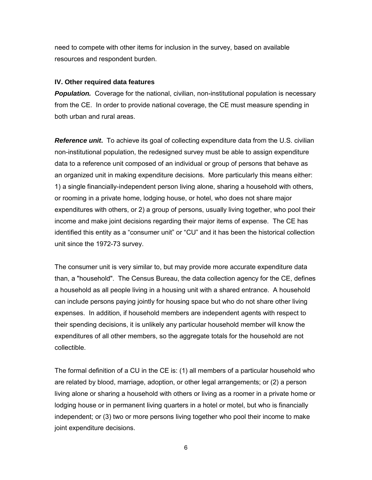need to compete with other items for inclusion in the survey, based on available resources and respondent burden.

#### **IV. Other required data features**

**Population.** Coverage for the national, civilian, non-institutional population is necessary from the CE. In order to provide national coverage, the CE must measure spending in both urban and rural areas.

**Reference unit.** To achieve its goal of collecting expenditure data from the U.S. civilian non-institutional population, the redesigned survey must be able to assign expenditure data to a reference unit composed of an individual or group of persons that behave as an organized unit in making expenditure decisions. More particularly this means either: 1) a single financially-independent person living alone, sharing a household with others, or rooming in a private home, lodging house, or hotel, who does not share major expenditures with others, or 2) a group of persons, usually living together, who pool their income and make joint decisions regarding their major items of expense. The CE has identified this entity as a "consumer unit" or "CU" and it has been the historical collection unit since the 1972-73 survey.

The consumer unit is very similar to, but may provide more accurate expenditure data than, a "household". The Census Bureau, the data collection agency for the CE, defines a household as all people living in a housing unit with a shared entrance. A household can include persons paying jointly for housing space but who do not share other living expenses. In addition, if household members are independent agents with respect to their spending decisions, it is unlikely any particular household member will know the expenditures of all other members, so the aggregate totals for the household are not collectible.

The formal definition of a CU in the CE is: (1) all members of a particular household who are related by blood, marriage, adoption, or other legal arrangements; or (2) a person living alone or sharing a household with others or living as a roomer in a private home or lodging house or in permanent living quarters in a hotel or motel, but who is financially independent; or (3) two or more persons living together who pool their income to make joint expenditure decisions.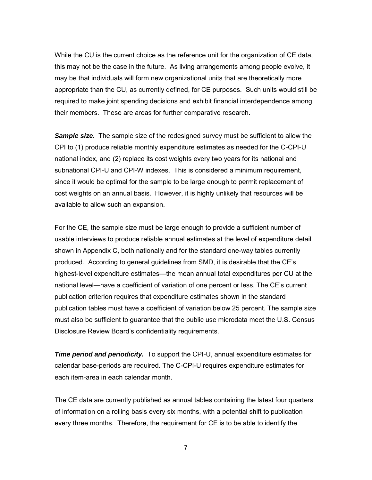While the CU is the current choice as the reference unit for the organization of CE data, this may not be the case in the future. As living arrangements among people evolve, it may be that individuals will form new organizational units that are theoretically more appropriate than the CU, as currently defined, for CE purposes. Such units would still be required to make joint spending decisions and exhibit financial interdependence among their members. These are areas for further comparative research.

*Sample size.* The sample size of the redesigned survey must be sufficient to allow the CPI to (1) produce reliable monthly expenditure estimates as needed for the C-CPI-U national index, and (2) replace its cost weights every two years for its national and subnational CPI-U and CPI-W indexes. This is considered a minimum requirement, since it would be optimal for the sample to be large enough to permit replacement of cost weights on an annual basis. However, it is highly unlikely that resources will be available to allow such an expansion.

For the CE, the sample size must be large enough to provide a sufficient number of usable interviews to produce reliable annual estimates at the level of expenditure detail shown in Appendix C, both nationally and for the standard one-way tables currently produced. According to general guidelines from SMD, it is desirable that the CE's highest-level expenditure estimates—the mean annual total expenditures per CU at the national level—have a coefficient of variation of one percent or less. The CE's current publication criterion requires that expenditure estimates shown in the standard publication tables must have a coefficient of variation below 25 percent. The sample size must also be sufficient to guarantee that the public use microdata meet the U.S. Census Disclosure Review Board's confidentiality requirements.

*Time period and periodicity.* To support the CPI-U, annual expenditure estimates for calendar base-periods are required. The C-CPI-U requires expenditure estimates for each item-area in each calendar month.

The CE data are currently published as annual tables containing the latest four quarters of information on a rolling basis every six months, with a potential shift to publication every three months. Therefore, the requirement for CE is to be able to identify the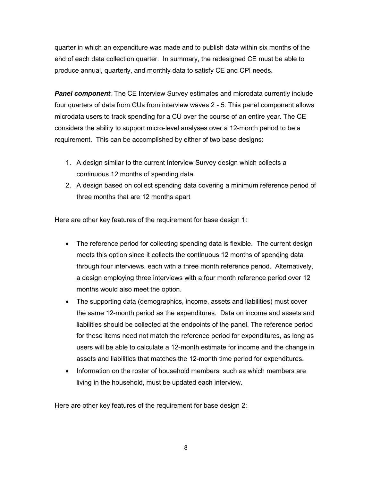quarter in which an expenditure was made and to publish data within six months of the end of each data collection quarter. In summary, the redesigned CE must be able to produce annual, quarterly, and monthly data to satisfy CE and CPI needs.

**Panel component**. The CE Interview Survey estimates and microdata currently include four quarters of data from CUs from interview waves 2 - 5. This panel component allows microdata users to track spending for a CU over the course of an entire year. The CE considers the ability to support micro-level analyses over a 12-month period to be a requirement. This can be accomplished by either of two base designs:

- 1. A design similar to the current Interview Survey design which collects a continuous 12 months of spending data
- 2. A design based on collect spending data covering a minimum reference period of three months that are 12 months apart

Here are other key features of the requirement for base design 1:

- The reference period for collecting spending data is flexible. The current design meets this option since it collects the continuous 12 months of spending data through four interviews, each with a three month reference period. Alternatively, a design employing three interviews with a four month reference period over 12 months would also meet the option.
- The supporting data (demographics, income, assets and liabilities) must cover the same 12-month period as the expenditures. Data on income and assets and liabilities should be collected at the endpoints of the panel. The reference period for these items need not match the reference period for expenditures, as long as users will be able to calculate a 12-month estimate for income and the change in assets and liabilities that matches the 12-month time period for expenditures.
- Information on the roster of household members, such as which members are living in the household, must be updated each interview.

Here are other key features of the requirement for base design 2: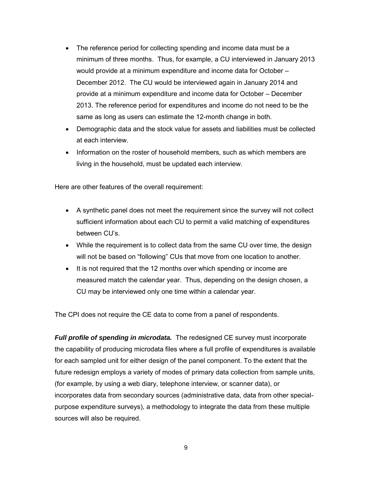- The reference period for collecting spending and income data must be a minimum of three months. Thus, for example, a CU interviewed in January 2013 would provide at a minimum expenditure and income data for October – December 2012. The CU would be interviewed again in January 2014 and provide at a minimum expenditure and income data for October – December 2013. The reference period for expenditures and income do not need to be the same as long as users can estimate the 12-month change in both.
- Demographic data and the stock value for assets and liabilities must be collected at each interview.
- Information on the roster of household members, such as which members are living in the household, must be updated each interview.

Here are other features of the overall requirement:

- A synthetic panel does not meet the requirement since the survey will not collect sufficient information about each CU to permit a valid matching of expenditures between CU's.
- While the requirement is to collect data from the same CU over time, the design will not be based on "following" CUs that move from one location to another.
- It is not required that the 12 months over which spending or income are measured match the calendar year. Thus, depending on the design chosen, a CU may be interviewed only one time within a calendar year.

The CPI does not require the CE data to come from a panel of respondents.

*Full profile of spending in microdata.* The redesigned CE survey must incorporate the capability of producing microdata files where a full profile of expenditures is available for each sampled unit for either design of the panel component. To the extent that the future redesign employs a variety of modes of primary data collection from sample units, (for example, by using a web diary, telephone interview, or scanner data), or incorporates data from secondary sources (administrative data, data from other specialpurpose expenditure surveys), a methodology to integrate the data from these multiple sources will also be required.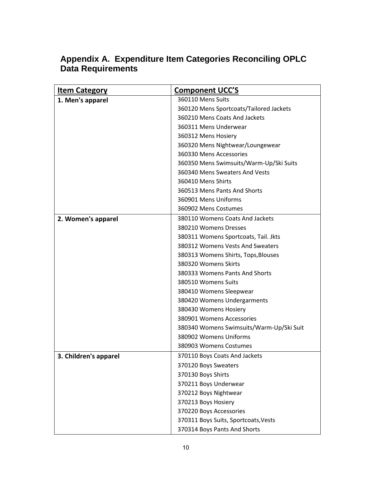| <b>Item Category</b>  | <b>Component UCC'S</b>                   |
|-----------------------|------------------------------------------|
| 1. Men's apparel      | 360110 Mens Suits                        |
|                       | 360120 Mens Sportcoats/Tailored Jackets  |
|                       | 360210 Mens Coats And Jackets            |
|                       | 360311 Mens Underwear                    |
|                       | 360312 Mens Hosiery                      |
|                       | 360320 Mens Nightwear/Loungewear         |
|                       | 360330 Mens Accessories                  |
|                       | 360350 Mens Swimsuits/Warm-Up/Ski Suits  |
|                       | 360340 Mens Sweaters And Vests           |
|                       | 360410 Mens Shirts                       |
|                       | 360513 Mens Pants And Shorts             |
|                       | 360901 Mens Uniforms                     |
|                       | 360902 Mens Costumes                     |
| 2. Women's apparel    | 380110 Womens Coats And Jackets          |
|                       | 380210 Womens Dresses                    |
|                       | 380311 Womens Sportcoats, Tail. Jkts     |
|                       | 380312 Womens Vests And Sweaters         |
|                       | 380313 Womens Shirts, Tops, Blouses      |
|                       | 380320 Womens Skirts                     |
|                       | 380333 Womens Pants And Shorts           |
|                       | 380510 Womens Suits                      |
|                       | 380410 Womens Sleepwear                  |
|                       | 380420 Womens Undergarments              |
|                       | 380430 Womens Hosiery                    |
|                       | 380901 Womens Accessories                |
|                       | 380340 Womens Swimsuits/Warm-Up/Ski Suit |
|                       | 380902 Womens Uniforms                   |
|                       | 380903 Womens Costumes                   |
| 3. Children's apparel | 370110 Boys Coats And Jackets            |
|                       | 370120 Boys Sweaters                     |
|                       | 370130 Boys Shirts                       |
|                       | 370211 Boys Underwear                    |
|                       | 370212 Boys Nightwear                    |
|                       | 370213 Boys Hosiery                      |
|                       | 370220 Boys Accessories                  |
|                       | 370311 Boys Suits, Sportcoats, Vests     |
|                       | 370314 Boys Pants And Shorts             |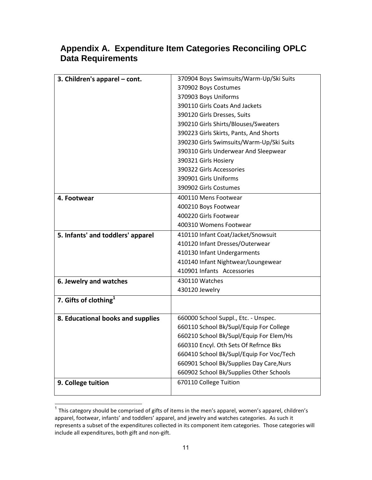| 3. Children's apparel - cont.     | 370904 Boys Swimsuits/Warm-Up/Ski Suits  |  |
|-----------------------------------|------------------------------------------|--|
|                                   | 370902 Boys Costumes                     |  |
|                                   | 370903 Boys Uniforms                     |  |
|                                   | 390110 Girls Coats And Jackets           |  |
|                                   | 390120 Girls Dresses, Suits              |  |
|                                   | 390210 Girls Shirts/Blouses/Sweaters     |  |
|                                   | 390223 Girls Skirts, Pants, And Shorts   |  |
|                                   | 390230 Girls Swimsuits/Warm-Up/Ski Suits |  |
|                                   | 390310 Girls Underwear And Sleepwear     |  |
|                                   | 390321 Girls Hosiery                     |  |
|                                   | 390322 Girls Accessories                 |  |
|                                   | 390901 Girls Uniforms                    |  |
|                                   | 390902 Girls Costumes                    |  |
| 4. Footwear                       | 400110 Mens Footwear                     |  |
|                                   | 400210 Boys Footwear                     |  |
|                                   | 400220 Girls Footwear                    |  |
|                                   | 400310 Womens Footwear                   |  |
| 5. Infants' and toddlers' apparel | 410110 Infant Coat/Jacket/Snowsuit       |  |
|                                   | 410120 Infant Dresses/Outerwear          |  |
|                                   | 410130 Infant Undergarments              |  |
|                                   | 410140 Infant Nightwear/Loungewear       |  |
|                                   | 410901 Infants Accessories               |  |
| 6. Jewelry and watches            | 430110 Watches                           |  |
|                                   | 430120 Jewelry                           |  |
| 7. Gifts of clothing $^1$         |                                          |  |
| 8. Educational books and supplies | 660000 School Suppl., Etc. - Unspec.     |  |
|                                   | 660110 School Bk/Supl/Equip For College  |  |
|                                   | 660210 School Bk/Supl/Equip For Elem/Hs  |  |
|                                   | 660310 Encyl. Oth Sets Of Refrnce Bks    |  |
|                                   | 660410 School Bk/Supl/Equip For Voc/Tech |  |
|                                   | 660901 School Bk/Supplies Day Care, Nurs |  |
|                                   | 660902 School Bk/Supplies Other Schools  |  |
| 9. College tuition                | 670110 College Tuition                   |  |
|                                   |                                          |  |

This category should be comprised of gifts of items in the men's apparel, women's apparel, children's<br><sup>1</sup> This category should be comprised of gifts of items in the men's apparel, women's apparel, children's apparel, footwear, infants' and toddlers' apparel, and jewelry and watches categories. As such it represents a subset of the expenditures collected in its component item categories. Those categories will include all expenditures, both gift and non-gift.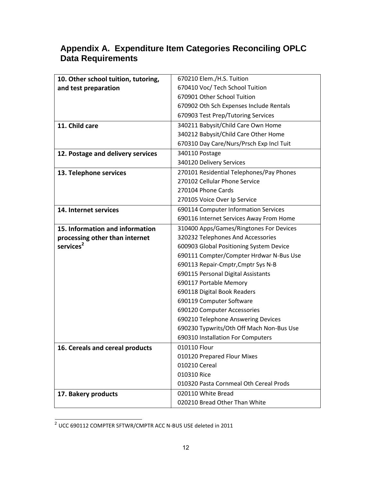| 10. Other school tuition, tutoring, | 670210 Elem./H.S. Tuition                |  |
|-------------------------------------|------------------------------------------|--|
| and test preparation                | 670410 Voc/ Tech School Tuition          |  |
|                                     | 670901 Other School Tuition              |  |
|                                     |                                          |  |
|                                     | 670902 Oth Sch Expenses Include Rentals  |  |
|                                     | 670903 Test Prep/Tutoring Services       |  |
| 11. Child care                      | 340211 Babysit/Child Care Own Home       |  |
|                                     | 340212 Babysit/Child Care Other Home     |  |
|                                     | 670310 Day Care/Nurs/Prsch Exp Incl Tuit |  |
| 12. Postage and delivery services   | 340110 Postage                           |  |
|                                     | 340120 Delivery Services                 |  |
| 13. Telephone services              | 270101 Residential Telephones/Pay Phones |  |
|                                     | 270102 Cellular Phone Service            |  |
|                                     | 270104 Phone Cards                       |  |
|                                     | 270105 Voice Over Ip Service             |  |
| 14. Internet services               | 690114 Computer Information Services     |  |
|                                     | 690116 Internet Services Away From Home  |  |
| 15. Information and information     | 310400 Apps/Games/Ringtones For Devices  |  |
| processing other than internet      | 320232 Telephones And Accessories        |  |
| services <sup>2</sup>               | 600903 Global Positioning System Device  |  |
|                                     | 690111 Compter/Compter Hrdwar N-Bus Use  |  |
|                                     | 690113 Repair-Cmptr, Cmptr Sys N-B       |  |
|                                     | 690115 Personal Digital Assistants       |  |
|                                     | 690117 Portable Memory                   |  |
|                                     | 690118 Digital Book Readers              |  |
|                                     | 690119 Computer Software                 |  |
|                                     | 690120 Computer Accessories              |  |
|                                     | 690210 Telephone Answering Devices       |  |
|                                     | 690230 Typwrits/Oth Off Mach Non-Bus Use |  |
|                                     | 690310 Installation For Computers        |  |
| 16. Cereals and cereal products     | 010110 Flour                             |  |
|                                     | 010120 Prepared Flour Mixes              |  |
|                                     | 010210 Cereal                            |  |
|                                     | 010310 Rice                              |  |
|                                     | 010320 Pasta Cornmeal Oth Cereal Prods   |  |
| 17. Bakery products                 | 020110 White Bread                       |  |
|                                     | 020210 Bread Other Than White            |  |

 2 UCC 690112 COMPTER SFTWR/CMPTR ACC N-BUS USE deleted in 2011

 $\overline{\phantom{a}}$  . The contract of  $\overline{\phantom{a}}$  ,  $\overline{\phantom{a}}$  ,  $\overline{\phantom{a}}$  ,  $\overline{\phantom{a}}$  ,  $\overline{\phantom{a}}$  ,  $\overline{\phantom{a}}$  ,  $\overline{\phantom{a}}$  ,  $\overline{\phantom{a}}$  ,  $\overline{\phantom{a}}$  ,  $\overline{\phantom{a}}$  ,  $\overline{\phantom{a}}$  ,  $\overline{\phantom{a}}$  ,  $\overline{\phantom{a}}$  ,  $\overline{\phantom{a$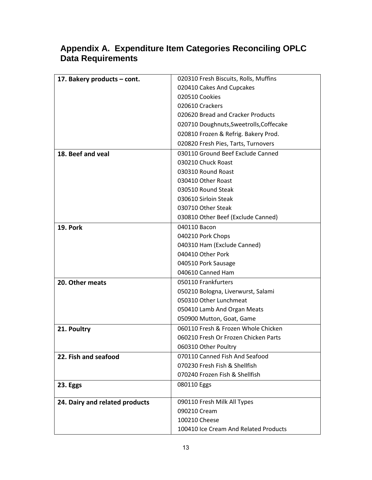| 17. Bakery products – cont.    | 020310 Fresh Biscuits, Rolls, Muffins   |
|--------------------------------|-----------------------------------------|
|                                | 020410 Cakes And Cupcakes               |
|                                | 020510 Cookies                          |
|                                | 020610 Crackers                         |
|                                | 020620 Bread and Cracker Products       |
|                                | 020710 Doughnuts, Sweetrolls, Coffecake |
|                                | 020810 Frozen & Refrig. Bakery Prod.    |
|                                | 020820 Fresh Pies, Tarts, Turnovers     |
| 18. Beef and yeal              | 030110 Ground Beef Exclude Canned       |
|                                | 030210 Chuck Roast                      |
|                                | 030310 Round Roast                      |
|                                | 030410 Other Roast                      |
|                                | 030510 Round Steak                      |
|                                | 030610 Sirloin Steak                    |
|                                | 030710 Other Steak                      |
|                                | 030810 Other Beef (Exclude Canned)      |
| <b>19. Pork</b>                | 040110 Bacon                            |
|                                | 040210 Pork Chops                       |
|                                | 040310 Ham (Exclude Canned)             |
|                                | 040410 Other Pork                       |
|                                | 040510 Pork Sausage                     |
|                                | 040610 Canned Ham                       |
| 20. Other meats                | 050110 Frankfurters                     |
|                                | 050210 Bologna, Liverwurst, Salami      |
|                                | 050310 Other Lunchmeat                  |
|                                | 050410 Lamb And Organ Meats             |
|                                | 050900 Mutton, Goat, Game               |
| 21. Poultry                    | 060110 Fresh & Frozen Whole Chicken     |
|                                | 060210 Fresh Or Frozen Chicken Parts    |
|                                | 060310 Other Poultry                    |
| 22. Fish and seafood           | 070110 Canned Fish And Seafood          |
|                                | 070230 Fresh Fish & Shellfish           |
|                                | 070240 Frozen Fish & Shellfish          |
| 23. Eggs                       | 080110 Eggs                             |
| 24. Dairy and related products | 090110 Fresh Milk All Types             |
|                                | 090210 Cream                            |
|                                | 100210 Cheese                           |
|                                | 100410 Ice Cream And Related Products   |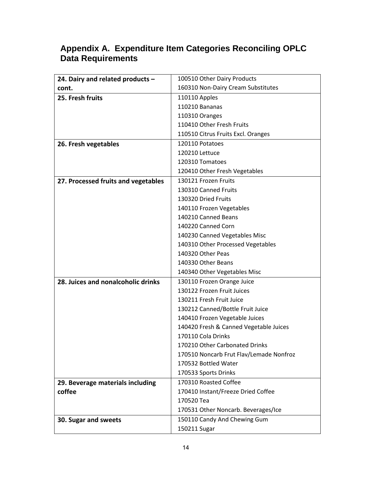| 24. Dairy and related products -    | 100510 Other Dairy Products             |  |  |
|-------------------------------------|-----------------------------------------|--|--|
| cont.                               | 160310 Non-Dairy Cream Substitutes      |  |  |
| 25. Fresh fruits                    | 110110 Apples                           |  |  |
|                                     | 110210 Bananas                          |  |  |
|                                     | 110310 Oranges                          |  |  |
|                                     | 110410 Other Fresh Fruits               |  |  |
|                                     | 110510 Citrus Fruits Excl. Oranges      |  |  |
| 26. Fresh vegetables                | 120110 Potatoes                         |  |  |
|                                     | 120210 Lettuce                          |  |  |
|                                     | 120310 Tomatoes                         |  |  |
|                                     | 120410 Other Fresh Vegetables           |  |  |
| 27. Processed fruits and vegetables | 130121 Frozen Fruits                    |  |  |
|                                     | 130310 Canned Fruits                    |  |  |
|                                     | 130320 Dried Fruits                     |  |  |
|                                     | 140110 Frozen Vegetables                |  |  |
|                                     | 140210 Canned Beans                     |  |  |
|                                     | 140220 Canned Corn                      |  |  |
|                                     | 140230 Canned Vegetables Misc           |  |  |
|                                     | 140310 Other Processed Vegetables       |  |  |
|                                     | 140320 Other Peas                       |  |  |
|                                     | 140330 Other Beans                      |  |  |
|                                     | 140340 Other Vegetables Misc            |  |  |
| 28. Juices and nonalcoholic drinks  | 130110 Frozen Orange Juice              |  |  |
|                                     | 130122 Frozen Fruit Juices              |  |  |
|                                     | 130211 Fresh Fruit Juice                |  |  |
|                                     | 130212 Canned/Bottle Fruit Juice        |  |  |
|                                     | 140410 Frozen Vegetable Juices          |  |  |
|                                     | 140420 Fresh & Canned Vegetable Juices  |  |  |
|                                     | 170110 Cola Drinks                      |  |  |
|                                     | 170210 Other Carbonated Drinks          |  |  |
|                                     | 170510 Noncarb Frut Flav/Lemade Nonfroz |  |  |
|                                     | 170532 Bottled Water                    |  |  |
|                                     | 170533 Sports Drinks                    |  |  |
| 29. Beverage materials including    | 170310 Roasted Coffee                   |  |  |
| coffee                              | 170410 Instant/Freeze Dried Coffee      |  |  |
|                                     | 170520 Tea                              |  |  |
|                                     | 170531 Other Noncarb. Beverages/Ice     |  |  |
| 30. Sugar and sweets                | 150110 Candy And Chewing Gum            |  |  |
|                                     | 150211 Sugar                            |  |  |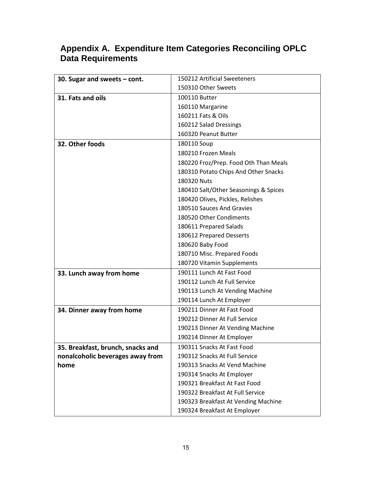| 30. Sugar and sweets $-$ cont.    | 150212 Artificial Sweeteners          |
|-----------------------------------|---------------------------------------|
|                                   | 150310 Other Sweets                   |
| 31. Fats and oils                 | 100110 Butter                         |
|                                   | 160110 Margarine                      |
|                                   | 160211 Fats & Oils                    |
|                                   | 160212 Salad Dressings                |
|                                   | 160320 Peanut Butter                  |
| 32. Other foods                   | 180110 Soup                           |
|                                   | 180210 Frozen Meals                   |
|                                   | 180220 Froz/Prep. Food Oth Than Meals |
|                                   | 180310 Potato Chips And Other Snacks  |
|                                   | 180320 Nuts                           |
|                                   | 180410 Salt/Other Seasonings & Spices |
|                                   | 180420 Olives, Pickles, Relishes      |
|                                   | 180510 Sauces And Gravies             |
|                                   | 180520 Other Condiments               |
|                                   | 180611 Prepared Salads                |
|                                   | 180612 Prepared Desserts              |
|                                   | 180620 Baby Food                      |
|                                   | 180710 Misc. Prepared Foods           |
|                                   | 180720 Vitamin Supplements            |
| 33. Lunch away from home          | 190111 Lunch At Fast Food             |
|                                   | 190112 Lunch At Full Service          |
|                                   | 190113 Lunch At Vending Machine       |
|                                   | 190114 Lunch At Employer              |
| 34. Dinner away from home         | 190211 Dinner At Fast Food            |
|                                   | 190212 Dinner At Full Service         |
|                                   | 190213 Dinner At Vending Machine      |
|                                   | 190214 Dinner At Employer             |
| 35. Breakfast, brunch, snacks and | 190311 Snacks At Fast Food            |
| nonalcoholic beverages away from  | 190312 Snacks At Full Service         |
| home                              | 190313 Snacks At Vend Machine         |
|                                   | 190314 Snacks At Employer             |
|                                   | 190321 Breakfast At Fast Food         |
|                                   | 190322 Breakfast At Full Service      |
|                                   | 190323 Breakfast At Vending Machine   |
|                                   | 190324 Breakfast At Employer          |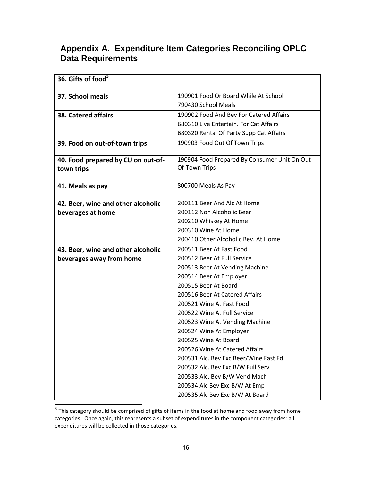| 36. Gifts of food <sup>3</sup>     |                                               |
|------------------------------------|-----------------------------------------------|
| 37. School meals                   | 190901 Food Or Board While At School          |
|                                    | 790430 School Meals                           |
| 38. Catered affairs                | 190902 Food And Bev For Catered Affairs       |
|                                    | 680310 Live Entertain. For Cat Affairs        |
|                                    | 680320 Rental Of Party Supp Cat Affairs       |
| 39. Food on out-of-town trips      | 190903 Food Out Of Town Trips                 |
| 40. Food prepared by CU on out-of- | 190904 Food Prepared By Consumer Unit On Out- |
| town trips                         | Of-Town Trips                                 |
| 41. Meals as pay                   | 800700 Meals As Pay                           |
| 42. Beer, wine and other alcoholic | 200111 Beer And Alc At Home                   |
| beverages at home                  | 200112 Non Alcoholic Beer                     |
|                                    | 200210 Whiskey At Home                        |
|                                    | 200310 Wine At Home                           |
|                                    | 200410 Other Alcoholic Bev. At Home           |
| 43. Beer, wine and other alcoholic | 200511 Beer At Fast Food                      |
| beverages away from home           | 200512 Beer At Full Service                   |
|                                    | 200513 Beer At Vending Machine                |
|                                    | 200514 Beer At Employer                       |
|                                    | 200515 Beer At Board                          |
|                                    | 200516 Beer At Catered Affairs                |
|                                    | 200521 Wine At Fast Food                      |
|                                    | 200522 Wine At Full Service                   |
|                                    | 200523 Wine At Vending Machine                |
|                                    | 200524 Wine At Employer                       |
|                                    | 200525 Wine At Board                          |
|                                    | 200526 Wine At Catered Affairs                |
|                                    | 200531 Alc. Bev Exc Beer/Wine Fast Fd         |
|                                    | 200532 Alc. Bev Exc B/W Full Serv             |
|                                    | 200533 Alc. Bev B/W Vend Mach                 |
|                                    | 200534 Alc Bev Exc B/W At Emp                 |
|                                    | 200535 Alc Bev Exc B/W At Board               |

 $\frac{3}{3}$  This category should be comprised of gifts of items in the food at home and food away from home categories. Once again, this represents a subset of expenditures in the component categories; all expenditures will be collected in those categories.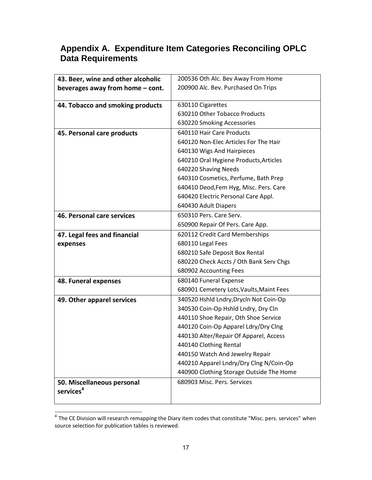| 43. Beer, wine and other alcoholic                             | 200536 Oth Alc. Bev Away From Home       |  |
|----------------------------------------------------------------|------------------------------------------|--|
| beverages away from home - cont.                               | 200900 Alc. Bev. Purchased On Trips      |  |
|                                                                |                                          |  |
| 44. Tobacco and smoking products                               | 630110 Cigarettes                        |  |
|                                                                | 630210 Other Tobacco Products            |  |
|                                                                | 630220 Smoking Accessories               |  |
| 45. Personal care products                                     | 640110 Hair Care Products                |  |
|                                                                | 640120 Non-Elec Articles For The Hair    |  |
|                                                                | 640130 Wigs And Hairpieces               |  |
|                                                                | 640210 Oral Hygiene Products, Articles   |  |
|                                                                | 640220 Shaving Needs                     |  |
|                                                                | 640310 Cosmetics, Perfume, Bath Prep     |  |
|                                                                | 640410 Deod, Fem Hyg, Misc. Pers. Care   |  |
|                                                                | 640420 Electric Personal Care Appl.      |  |
|                                                                | 640430 Adult Diapers                     |  |
| 46. Personal care services                                     | 650310 Pers. Care Serv.                  |  |
|                                                                | 650900 Repair Of Pers. Care App.         |  |
| 620112 Credit Card Memberships<br>47. Legal fees and financial |                                          |  |
| expenses                                                       | 680110 Legal Fees                        |  |
|                                                                | 680210 Safe Deposit Box Rental           |  |
|                                                                | 680220 Check Accts / Oth Bank Serv Chgs  |  |
|                                                                | 680902 Accounting Fees                   |  |
| 48. Funeral expenses                                           | 680140 Funeral Expense                   |  |
|                                                                | 680901 Cemetery Lots, Vaults, Maint Fees |  |
| 49. Other apparel services                                     | 340520 Hshld Lndry, Drycln Not Coin-Op   |  |
|                                                                | 340530 Coin-Op Hshld Lndry, Dry Cln      |  |
|                                                                | 440110 Shoe Repair, Oth Shoe Service     |  |
|                                                                | 440120 Coin-Op Apparel Ldry/Dry Clng     |  |
|                                                                | 440130 Alter/Repair Of Apparel, Access   |  |
|                                                                | 440140 Clothing Rental                   |  |
|                                                                | 440150 Watch And Jewelry Repair          |  |
|                                                                | 440210 Apparel Lndry/Dry Clng N/Coin-Op  |  |
|                                                                | 440900 Clothing Storage Outside The Home |  |
| 50. Miscellaneous personal                                     | 680903 Misc. Pers. Services              |  |
| services <sup>4</sup>                                          |                                          |  |
|                                                                |                                          |  |

**<sup>4</sup>**<br><sup>4</sup> The CE Division will research remapping the Diary item codes that constitute "Misc. pers. services" when source selection for publication tables is reviewed.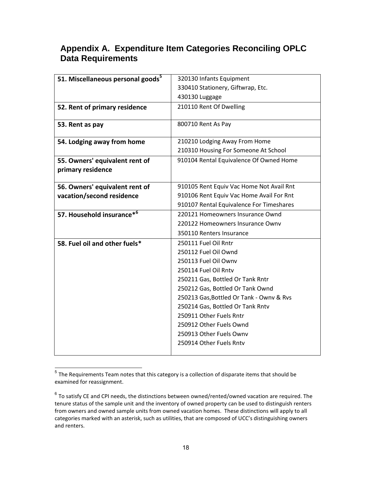| 51. Miscellaneous personal goods <sup>5</sup> | 320130 Infants Equipment                 |
|-----------------------------------------------|------------------------------------------|
|                                               | 330410 Stationery, Giftwrap, Etc.        |
|                                               | 430130 Luggage                           |
| 52. Rent of primary residence                 | 210110 Rent Of Dwelling                  |
|                                               |                                          |
| 53. Rent as pay                               | 800710 Rent As Pay                       |
|                                               |                                          |
| 54. Lodging away from home                    | 210210 Lodging Away From Home            |
|                                               | 210310 Housing For Someone At School     |
| 55. Owners' equivalent rent of                | 910104 Rental Equivalence Of Owned Home  |
| primary residence                             |                                          |
|                                               |                                          |
| 56. Owners' equivalent rent of                | 910105 Rent Equiv Vac Home Not Avail Rnt |
| vacation/second residence                     | 910106 Rent Equiv Vac Home Avail For Rnt |
|                                               | 910107 Rental Equivalence For Timeshares |
| 57. Household insurance* <sup>6</sup>         | 220121 Homeowners Insurance Ownd         |
|                                               | 220122 Homeowners Insurance Ownv         |
|                                               | 350110 Renters Insurance                 |
| 58. Fuel oil and other fuels*                 | 250111 Fuel Oil Rntr                     |
|                                               | 250112 Fuel Oil Ownd                     |
|                                               | 250113 Fuel Oil Ownv                     |
|                                               | 250114 Fuel Oil Rntv                     |
|                                               | 250211 Gas, Bottled Or Tank Rntr         |
|                                               | 250212 Gas, Bottled Or Tank Ownd         |
|                                               | 250213 Gas, Bottled Or Tank - Ownv & Rvs |
|                                               | 250214 Gas, Bottled Or Tank Rntv         |
|                                               | 250911 Other Fuels Rntr                  |
|                                               | 250912 Other Fuels Ownd                  |
|                                               | 250913 Other Fuels Ownv                  |
|                                               | 250914 Other Fuels Rntv                  |
|                                               |                                          |

The Requirements Team notes that this category is a collection of disparate items that should be **The Requirements** examined for reassignment.

 $^6$  To satisfy CE and CPI needs, the distinctions between owned/rented/owned vacation are required. The tenure status of the sample unit and the inventory of owned property can be used to distinguish renters from owners and owned sample units from owned vacation homes. These distinctions will apply to all categories marked with an asterisk, such as utilities, that are composed of UCC's distinguishing owners and renters.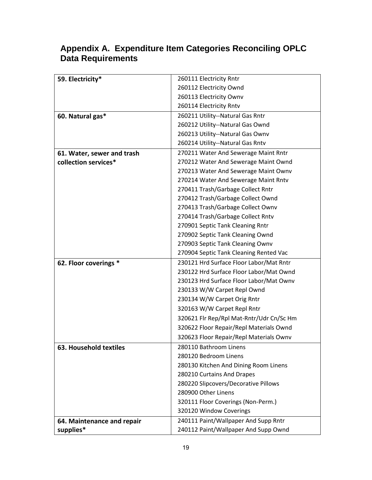|                          | Appendix A. Expenditure Item Categories Reconciling OPLC |  |  |
|--------------------------|----------------------------------------------------------|--|--|
| <b>Data Requirements</b> |                                                          |  |  |

| 59. Electricity*              | 260111 Electricity Rntr                  |
|-------------------------------|------------------------------------------|
|                               | 260112 Electricity Ownd                  |
|                               | 260113 Electricity Ownv                  |
|                               | 260114 Electricity Rntv                  |
| 60. Natural gas*              | 260211 Utility--Natural Gas Rntr         |
|                               | 260212 Utility--Natural Gas Ownd         |
|                               | 260213 Utility--Natural Gas Ownv         |
|                               | 260214 Utility--Natural Gas Rntv         |
| 61. Water, sewer and trash    | 270211 Water And Sewerage Maint Rntr     |
| collection services*          | 270212 Water And Sewerage Maint Ownd     |
|                               | 270213 Water And Sewerage Maint Ownv     |
|                               | 270214 Water And Sewerage Maint Rntv     |
|                               | 270411 Trash/Garbage Collect Rntr        |
|                               | 270412 Trash/Garbage Collect Ownd        |
|                               | 270413 Trash/Garbage Collect Ownv        |
|                               | 270414 Trash/Garbage Collect Rntv        |
|                               | 270901 Septic Tank Cleaning Rntr         |
|                               | 270902 Septic Tank Cleaning Ownd         |
|                               | 270903 Septic Tank Cleaning Ownv         |
|                               | 270904 Septic Tank Cleaning Rented Vac   |
| 62. Floor coverings *         | 230121 Hrd Surface Floor Labor/Mat Rntr  |
|                               | 230122 Hrd Surface Floor Labor/Mat Ownd  |
|                               | 230123 Hrd Surface Floor Labor/Mat Ownv  |
|                               | 230133 W/W Carpet Repl Ownd              |
|                               | 230134 W/W Carpet Orig Rntr              |
|                               | 320163 W/W Carpet Repl Rntr              |
|                               | 320621 Flr Rep/Rpl Mat-Rntr/Udr Cn/Sc Hm |
|                               | 320622 Floor Repair/Repl Materials Ownd  |
|                               | 320623 Floor Repair/Repl Materials Ownv  |
| <b>63. Household textiles</b> | 280110 Bathroom Linens                   |
|                               | 280120 Bedroom Linens                    |
|                               | 280130 Kitchen And Dining Room Linens    |
|                               | 280210 Curtains And Drapes               |
|                               | 280220 Slipcovers/Decorative Pillows     |
|                               | 280900 Other Linens                      |
|                               | 320111 Floor Coverings (Non-Perm.)       |
|                               | 320120 Window Coverings                  |
| 64. Maintenance and repair    | 240111 Paint/Wallpaper And Supp Rntr     |
| supplies*                     | 240112 Paint/Wallpaper And Supp Ownd     |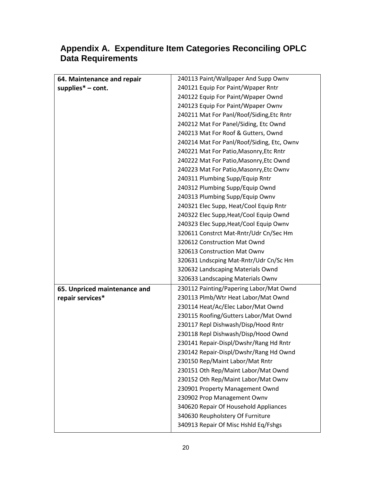| 64. Maintenance and repair   | 240113 Paint/Wallpaper And Supp Ownv       |  |  |  |
|------------------------------|--------------------------------------------|--|--|--|
| supplies $*$ – cont.         | 240121 Equip For Paint/Wpaper Rntr         |  |  |  |
|                              | 240122 Equip For Paint/Wpaper Ownd         |  |  |  |
|                              | 240123 Equip For Paint/Wpaper Ownv         |  |  |  |
|                              | 240211 Mat For Panl/Roof/Siding, Etc Rntr  |  |  |  |
|                              | 240212 Mat For Panel/Siding, Etc Ownd      |  |  |  |
|                              | 240213 Mat For Roof & Gutters, Ownd        |  |  |  |
|                              | 240214 Mat For Panl/Roof/Siding, Etc, Ownv |  |  |  |
|                              | 240221 Mat For Patio, Masonry, Etc Rntr    |  |  |  |
|                              | 240222 Mat For Patio, Masonry, Etc Ownd    |  |  |  |
|                              | 240223 Mat For Patio, Masonry, Etc Ownv    |  |  |  |
|                              | 240311 Plumbing Supp/Equip Rntr            |  |  |  |
|                              | 240312 Plumbing Supp/Equip Ownd            |  |  |  |
|                              | 240313 Plumbing Supp/Equip Ownv            |  |  |  |
|                              | 240321 Elec Supp, Heat/Cool Equip Rntr     |  |  |  |
|                              | 240322 Elec Supp, Heat/Cool Equip Ownd     |  |  |  |
|                              | 240323 Elec Supp, Heat/Cool Equip Ownv     |  |  |  |
|                              | 320611 Constrct Mat-Rntr/Udr Cn/Sec Hm     |  |  |  |
|                              | 320612 Construction Mat Ownd               |  |  |  |
|                              | 320613 Construction Mat Ownv               |  |  |  |
|                              | 320631 Lndscping Mat-Rntr/Udr Cn/Sc Hm     |  |  |  |
|                              | 320632 Landscaping Materials Ownd          |  |  |  |
|                              | 320633 Landscaping Materials Ownv          |  |  |  |
| 65. Unpriced maintenance and | 230112 Painting/Papering Labor/Mat Ownd    |  |  |  |
| repair services*             | 230113 Plmb/Wtr Heat Labor/Mat Ownd        |  |  |  |
|                              | 230114 Heat/Ac/Elec Labor/Mat Ownd         |  |  |  |
|                              | 230115 Roofing/Gutters Labor/Mat Ownd      |  |  |  |
|                              | 230117 Repl Dishwash/Disp/Hood Rntr        |  |  |  |
|                              | 230118 Repl Dishwash/Disp/Hood Ownd        |  |  |  |
|                              | 230141 Repair-Displ/Dwshr/Rang Hd Rntr     |  |  |  |
|                              | 230142 Repair-Displ/Dwshr/Rang Hd Ownd     |  |  |  |
|                              | 230150 Rep/Maint Labor/Mat Rntr            |  |  |  |
|                              | 230151 Oth Rep/Maint Labor/Mat Ownd        |  |  |  |
|                              | 230152 Oth Rep/Maint Labor/Mat Ownv        |  |  |  |
|                              | 230901 Property Management Ownd            |  |  |  |
|                              | 230902 Prop Management Ownv                |  |  |  |
|                              | 340620 Repair Of Household Appliances      |  |  |  |
|                              | 340630 Reupholstery Of Furniture           |  |  |  |
|                              | 340913 Repair Of Misc Hshld Eq/Fshgs       |  |  |  |
|                              |                                            |  |  |  |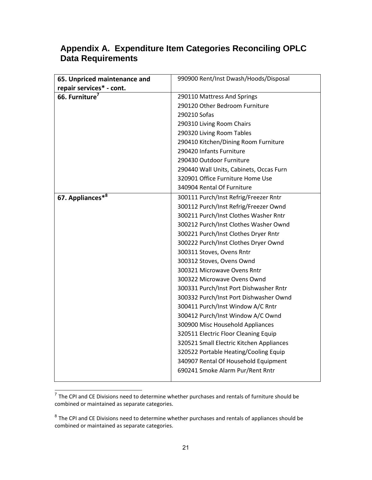| 65. Unpriced maintenance and | 990900 Rent/Inst Dwash/Hoods/Disposal    |  |  |
|------------------------------|------------------------------------------|--|--|
| repair services* - cont.     |                                          |  |  |
| 66. Furniture <sup>7</sup>   | 290110 Mattress And Springs              |  |  |
|                              | 290120 Other Bedroom Furniture           |  |  |
|                              | 290210 Sofas                             |  |  |
|                              | 290310 Living Room Chairs                |  |  |
|                              | 290320 Living Room Tables                |  |  |
|                              | 290410 Kitchen/Dining Room Furniture     |  |  |
|                              | 290420 Infants Furniture                 |  |  |
|                              | 290430 Outdoor Furniture                 |  |  |
|                              | 290440 Wall Units, Cabinets, Occas Furn  |  |  |
|                              | 320901 Office Furniture Home Use         |  |  |
|                              | 340904 Rental Of Furniture               |  |  |
| 67. Appliances*8             | 300111 Purch/Inst Refrig/Freezer Rntr    |  |  |
|                              | 300112 Purch/Inst Refrig/Freezer Ownd    |  |  |
|                              | 300211 Purch/Inst Clothes Washer Rntr    |  |  |
|                              | 300212 Purch/Inst Clothes Washer Ownd    |  |  |
|                              | 300221 Purch/Inst Clothes Dryer Rntr     |  |  |
|                              | 300222 Purch/Inst Clothes Dryer Ownd     |  |  |
|                              | 300311 Stoves, Ovens Rntr                |  |  |
|                              | 300312 Stoves, Ovens Ownd                |  |  |
|                              | 300321 Microwave Ovens Rntr              |  |  |
|                              | 300322 Microwave Ovens Ownd              |  |  |
|                              | 300331 Purch/Inst Port Dishwasher Rntr   |  |  |
|                              | 300332 Purch/Inst Port Dishwasher Ownd   |  |  |
|                              | 300411 Purch/Inst Window A/C Rntr        |  |  |
|                              | 300412 Purch/Inst Window A/C Ownd        |  |  |
|                              | 300900 Misc Household Appliances         |  |  |
|                              | 320511 Electric Floor Cleaning Equip     |  |  |
|                              | 320521 Small Electric Kitchen Appliances |  |  |
|                              | 320522 Portable Heating/Cooling Equip    |  |  |
|                              | 340907 Rental Of Household Equipment     |  |  |
|                              | 690241 Smoke Alarm Pur/Rent Rntr         |  |  |

The CPI and CE Divisions need to determine whether purchases and rentals of furniture should be<br>The CPI and CE Divisions need to determine whether purchases and rentals of furniture should be combined or maintained as separate categories.

 $^8$  The CPI and CE Divisions need to determine whether purchases and rentals of appliances should be combined or maintained as separate categories.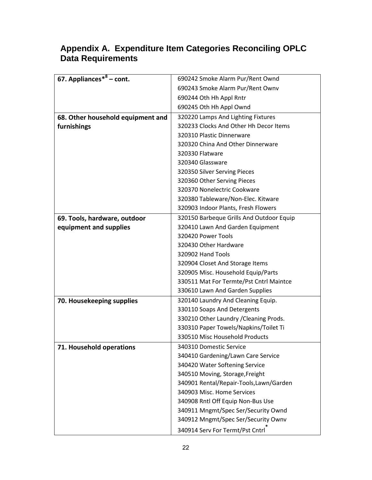| 67. Appliances $*^8$ – cont.      | 690242 Smoke Alarm Pur/Rent Ownd         |  |  |  |
|-----------------------------------|------------------------------------------|--|--|--|
|                                   | 690243 Smoke Alarm Pur/Rent Ownv         |  |  |  |
|                                   | 690244 Oth Hh Appl Rntr                  |  |  |  |
|                                   | 690245 Oth Hh Appl Ownd                  |  |  |  |
| 68. Other household equipment and | 320220 Lamps And Lighting Fixtures       |  |  |  |
| furnishings                       | 320233 Clocks And Other Hh Decor Items   |  |  |  |
|                                   | 320310 Plastic Dinnerware                |  |  |  |
|                                   | 320320 China And Other Dinnerware        |  |  |  |
|                                   | 320330 Flatware                          |  |  |  |
|                                   | 320340 Glassware                         |  |  |  |
|                                   | 320350 Silver Serving Pieces             |  |  |  |
|                                   | 320360 Other Serving Pieces              |  |  |  |
|                                   | 320370 Nonelectric Cookware              |  |  |  |
|                                   | 320380 Tableware/Non-Elec. Kitware       |  |  |  |
|                                   | 320903 Indoor Plants, Fresh Flowers      |  |  |  |
| 69. Tools, hardware, outdoor      | 320150 Barbeque Grills And Outdoor Equip |  |  |  |
| equipment and supplies            | 320410 Lawn And Garden Equipment         |  |  |  |
|                                   | 320420 Power Tools                       |  |  |  |
|                                   | 320430 Other Hardware                    |  |  |  |
|                                   | 320902 Hand Tools                        |  |  |  |
|                                   | 320904 Closet And Storage Items          |  |  |  |
|                                   | 320905 Misc. Household Equip/Parts       |  |  |  |
|                                   | 330511 Mat For Termte/Pst Cntrl Maintce  |  |  |  |
|                                   | 330610 Lawn And Garden Supplies          |  |  |  |
| 70. Housekeeping supplies         | 320140 Laundry And Cleaning Equip.       |  |  |  |
|                                   | 330110 Soaps And Detergents              |  |  |  |
|                                   | 330210 Other Laundry / Cleaning Prods.   |  |  |  |
|                                   | 330310 Paper Towels/Napkins/Toilet Ti    |  |  |  |
|                                   | 330510 Misc Household Products           |  |  |  |
| 71. Household operations          | 340310 Domestic Service                  |  |  |  |
|                                   | 340410 Gardening/Lawn Care Service       |  |  |  |
|                                   | 340420 Water Softening Service           |  |  |  |
|                                   | 340510 Moving, Storage, Freight          |  |  |  |
|                                   | 340901 Rental/Repair-Tools, Lawn/Garden  |  |  |  |
|                                   | 340903 Misc. Home Services               |  |  |  |
|                                   | 340908 Rntl Off Equip Non-Bus Use        |  |  |  |
|                                   | 340911 Mngmt/Spec Ser/Security Ownd      |  |  |  |
|                                   | 340912 Mngmt/Spec Ser/Security Ownv      |  |  |  |
|                                   | 340914 Serv For Termt/Pst Cntrl          |  |  |  |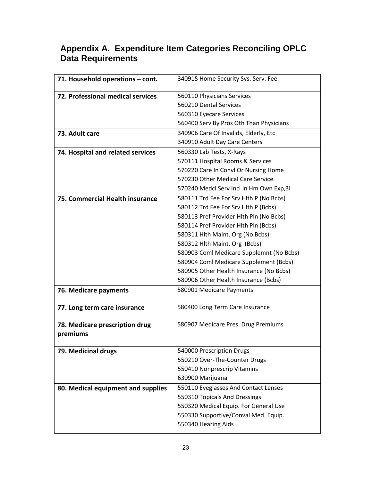| 71. Household operations - cont.   | 340915 Home Security Sys. Serv. Fee      |  |  |  |
|------------------------------------|------------------------------------------|--|--|--|
| 72. Professional medical services  | 560110 Physicians Services               |  |  |  |
|                                    | 560210 Dental Services                   |  |  |  |
|                                    | 560310 Eyecare Services                  |  |  |  |
|                                    | 560400 Serv By Pros Oth Than Physicians  |  |  |  |
| 73. Adult care                     | 340906 Care Of Invalids, Elderly, Etc    |  |  |  |
|                                    | 340910 Adult Day Care Centers            |  |  |  |
| 74. Hospital and related services  | 560330 Lab Tests, X-Rays                 |  |  |  |
|                                    | 570111 Hospital Rooms & Services         |  |  |  |
|                                    | 570220 Care In Convl Or Nursing Home     |  |  |  |
|                                    | 570230 Other Medical Care Service        |  |  |  |
|                                    | 570240 Medcl Serv Incl In Hm Own Exp, 31 |  |  |  |
| 75. Commercial Health insurance    | 580111 Trd Fee For Srv Hlth P (No Bcbs)  |  |  |  |
|                                    | 580112 Trd Fee For Srv Hlth P (Bcbs)     |  |  |  |
|                                    | 580113 Pref Provider Hlth Pln (No Bcbs)  |  |  |  |
|                                    | 580114 Pref Provider Hlth Pln (Bcbs)     |  |  |  |
|                                    | 580311 Hlth Maint. Org (No Bcbs)         |  |  |  |
|                                    | 580312 Hlth Maint. Org (Bcbs)            |  |  |  |
|                                    | 580903 Coml Medicare Supplemnt (No Bcbs) |  |  |  |
|                                    | 580904 Coml Medicare Supplement (Bcbs)   |  |  |  |
|                                    | 580905 Other Health Insurance (No Bcbs)  |  |  |  |
|                                    | 580906 Other Health Insurance (Bcbs)     |  |  |  |
| 76. Medicare payments              | 580901 Medicare Payments                 |  |  |  |
| 77. Long term care insurance       | 580400 Long Term Care Insurance          |  |  |  |
| 78. Medicare prescription drug     | 580907 Medicare Pres. Drug Premiums      |  |  |  |
| premiums                           |                                          |  |  |  |
| 79. Medicinal drugs                | 540000 Prescription Drugs                |  |  |  |
|                                    | 550210 Over-The-Counter Drugs            |  |  |  |
|                                    | 550410 Nonprescrip Vitamins              |  |  |  |
|                                    | 630900 Marijuana                         |  |  |  |
| 80. Medical equipment and supplies | 550110 Eyeglasses And Contact Lenses     |  |  |  |
|                                    | 550310 Topicals And Dressings            |  |  |  |
|                                    | 550320 Medical Equip. For General Use    |  |  |  |
|                                    | 550330 Supportive/Conval Med. Equip.     |  |  |  |
|                                    | 550340 Hearing Aids                      |  |  |  |
|                                    |                                          |  |  |  |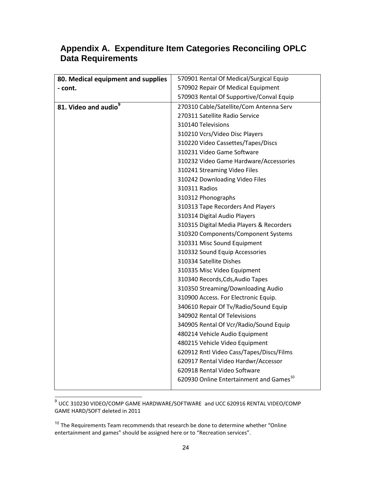| 80. Medical equipment and supplies | 570901 Rental Of Medical/Surgical Equip             |  |  |
|------------------------------------|-----------------------------------------------------|--|--|
| - cont.                            | 570902 Repair Of Medical Equipment                  |  |  |
|                                    | 570903 Rental Of Supportive/Conval Equip            |  |  |
| 81. Video and audio <sup>9</sup>   | 270310 Cable/Satellite/Com Antenna Serv             |  |  |
|                                    | 270311 Satellite Radio Service                      |  |  |
|                                    | 310140 Televisions                                  |  |  |
|                                    | 310210 Vcrs/Video Disc Players                      |  |  |
|                                    | 310220 Video Cassettes/Tapes/Discs                  |  |  |
|                                    | 310231 Video Game Software                          |  |  |
|                                    | 310232 Video Game Hardware/Accessories              |  |  |
|                                    | 310241 Streaming Video Files                        |  |  |
|                                    | 310242 Downloading Video Files                      |  |  |
|                                    | 310311 Radios                                       |  |  |
|                                    | 310312 Phonographs                                  |  |  |
|                                    | 310313 Tape Recorders And Players                   |  |  |
|                                    | 310314 Digital Audio Players                        |  |  |
|                                    | 310315 Digital Media Players & Recorders            |  |  |
|                                    | 310320 Components/Component Systems                 |  |  |
|                                    | 310331 Misc Sound Equipment                         |  |  |
|                                    | 310332 Sound Equip Accessories                      |  |  |
|                                    | 310334 Satellite Dishes                             |  |  |
|                                    | 310335 Misc Video Equipment                         |  |  |
|                                    | 310340 Records, Cds, Audio Tapes                    |  |  |
|                                    | 310350 Streaming/Downloading Audio                  |  |  |
|                                    | 310900 Access. For Electronic Equip.                |  |  |
|                                    | 340610 Repair Of Tv/Radio/Sound Equip               |  |  |
|                                    | 340902 Rental Of Televisions                        |  |  |
|                                    | 340905 Rental Of Vcr/Radio/Sound Equip              |  |  |
|                                    | 480214 Vehicle Audio Equipment                      |  |  |
|                                    | 480215 Vehicle Video Equipment                      |  |  |
|                                    | 620912 Rntl Video Cass/Tapes/Discs/Films            |  |  |
|                                    | 620917 Rental Video Hardwr/Accessor                 |  |  |
|                                    | 620918 Rental Video Software                        |  |  |
|                                    | 620930 Online Entertainment and Games <sup>10</sup> |  |  |

 9 UCC 310230 VIDEO/COMP GAME HARDWARE/SOFTWARE and UCC 620916 RENTAL VIDEO/COMP GAME HARD/SOFT deleted in 2011

 $10$  The Requirements Team recommends that research be done to determine whether "Online entertainment and games" should be assigned here or to "Recreation services".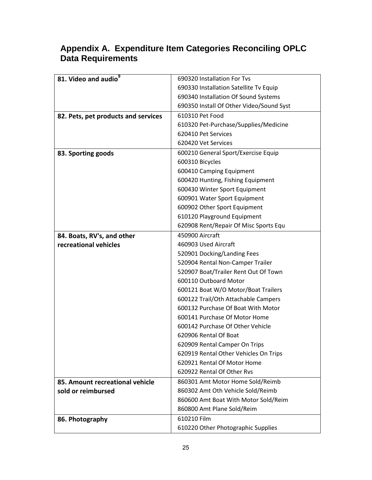| 81. Video and audio <sup>9</sup>    | 690320 Installation For Tvs              |  |  |  |
|-------------------------------------|------------------------------------------|--|--|--|
|                                     | 690330 Installation Satellite Tv Equip   |  |  |  |
|                                     | 690340 Installation Of Sound Systems     |  |  |  |
|                                     | 690350 Install Of Other Video/Sound Syst |  |  |  |
| 82. Pets, pet products and services | 610310 Pet Food                          |  |  |  |
|                                     | 610320 Pet-Purchase/Supplies/Medicine    |  |  |  |
|                                     | 620410 Pet Services                      |  |  |  |
|                                     | 620420 Vet Services                      |  |  |  |
| 83. Sporting goods                  | 600210 General Sport/Exercise Equip      |  |  |  |
|                                     | 600310 Bicycles                          |  |  |  |
|                                     | 600410 Camping Equipment                 |  |  |  |
|                                     | 600420 Hunting, Fishing Equipment        |  |  |  |
|                                     | 600430 Winter Sport Equipment            |  |  |  |
|                                     | 600901 Water Sport Equipment             |  |  |  |
|                                     | 600902 Other Sport Equipment             |  |  |  |
|                                     | 610120 Playground Equipment              |  |  |  |
|                                     | 620908 Rent/Repair Of Misc Sports Equ    |  |  |  |
| 84. Boats, RV's, and other          | 450900 Aircraft                          |  |  |  |
| recreational vehicles               | 460903 Used Aircraft                     |  |  |  |
|                                     | 520901 Docking/Landing Fees              |  |  |  |
|                                     | 520904 Rental Non-Camper Trailer         |  |  |  |
|                                     | 520907 Boat/Trailer Rent Out Of Town     |  |  |  |
|                                     | 600110 Outboard Motor                    |  |  |  |
|                                     | 600121 Boat W/O Motor/Boat Trailers      |  |  |  |
|                                     | 600122 Trail/Oth Attachable Campers      |  |  |  |
|                                     | 600132 Purchase Of Boat With Motor       |  |  |  |
|                                     | 600141 Purchase Of Motor Home            |  |  |  |
|                                     | 600142 Purchase Of Other Vehicle         |  |  |  |
|                                     | 620906 Rental Of Boat                    |  |  |  |
|                                     | 620909 Rental Camper On Trips            |  |  |  |
|                                     | 620919 Rental Other Vehicles On Trips    |  |  |  |
|                                     | 620921 Rental Of Motor Home              |  |  |  |
|                                     | 620922 Rental Of Other Rvs               |  |  |  |
| 85. Amount recreational vehicle     | 860301 Amt Motor Home Sold/Reimb         |  |  |  |
| sold or reimbursed                  | 860302 Amt Oth Vehicle Sold/Reimb        |  |  |  |
|                                     | 860600 Amt Boat With Motor Sold/Reim     |  |  |  |
|                                     | 860800 Amt Plane Sold/Reim               |  |  |  |
| 86. Photography                     | 610210 Film                              |  |  |  |
|                                     | 610220 Other Photographic Supplies       |  |  |  |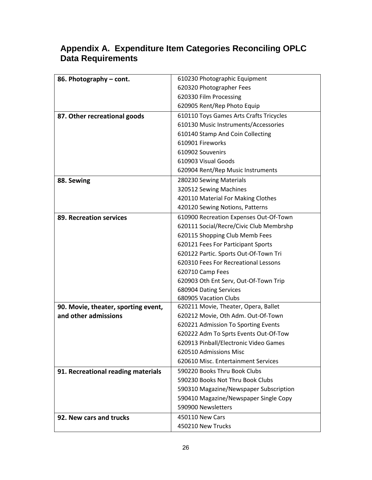| 86. Photography - cont.             | 610230 Photographic Equipment           |  |  |  |
|-------------------------------------|-----------------------------------------|--|--|--|
|                                     | 620320 Photographer Fees                |  |  |  |
|                                     | 620330 Film Processing                  |  |  |  |
|                                     | 620905 Rent/Rep Photo Equip             |  |  |  |
| 87. Other recreational goods        | 610110 Toys Games Arts Crafts Tricycles |  |  |  |
|                                     | 610130 Music Instruments/Accessories    |  |  |  |
|                                     | 610140 Stamp And Coin Collecting        |  |  |  |
|                                     | 610901 Fireworks                        |  |  |  |
|                                     | 610902 Souvenirs                        |  |  |  |
|                                     | 610903 Visual Goods                     |  |  |  |
|                                     | 620904 Rent/Rep Music Instruments       |  |  |  |
| 88. Sewing                          | 280230 Sewing Materials                 |  |  |  |
|                                     | 320512 Sewing Machines                  |  |  |  |
|                                     | 420110 Material For Making Clothes      |  |  |  |
|                                     | 420120 Sewing Notions, Patterns         |  |  |  |
| 89. Recreation services             | 610900 Recreation Expenses Out-Of-Town  |  |  |  |
|                                     | 620111 Social/Recre/Civic Club Membrshp |  |  |  |
|                                     | 620115 Shopping Club Memb Fees          |  |  |  |
|                                     | 620121 Fees For Participant Sports      |  |  |  |
|                                     | 620122 Partic. Sports Out-Of-Town Tri   |  |  |  |
|                                     | 620310 Fees For Recreational Lessons    |  |  |  |
|                                     | 620710 Camp Fees                        |  |  |  |
|                                     | 620903 Oth Ent Serv, Out-Of-Town Trip   |  |  |  |
|                                     | 680904 Dating Services                  |  |  |  |
|                                     | 680905 Vacation Clubs                   |  |  |  |
| 90. Movie, theater, sporting event, | 620211 Movie, Theater, Opera, Ballet    |  |  |  |
| and other admissions                | 620212 Movie, Oth Adm. Out-Of-Town      |  |  |  |
|                                     | 620221 Admission To Sporting Events     |  |  |  |
|                                     | 620222 Adm To Sprts Events Out-Of-Tow   |  |  |  |
|                                     | 620913 Pinball/Electronic Video Games   |  |  |  |
|                                     | 620510 Admissions Misc                  |  |  |  |
|                                     | 620610 Misc. Entertainment Services     |  |  |  |
| 91. Recreational reading materials  | 590220 Books Thru Book Clubs            |  |  |  |
|                                     | 590230 Books Not Thru Book Clubs        |  |  |  |
|                                     | 590310 Magazine/Newspaper Subscription  |  |  |  |
|                                     | 590410 Magazine/Newspaper Single Copy   |  |  |  |
|                                     | 590900 Newsletters                      |  |  |  |
| 92. New cars and trucks             | 450110 New Cars                         |  |  |  |
|                                     | 450210 New Trucks                       |  |  |  |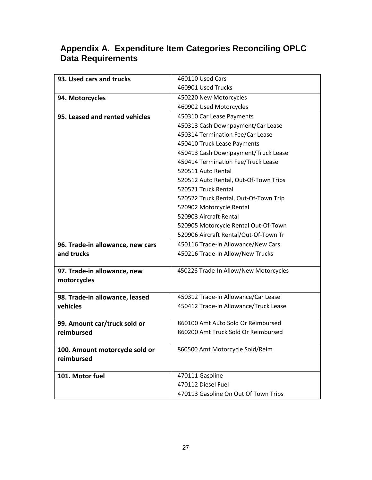| 93. Used cars and trucks                   | 460110 Used Cars                      |  |  |  |
|--------------------------------------------|---------------------------------------|--|--|--|
|                                            | 460901 Used Trucks                    |  |  |  |
| 94. Motorcycles                            | 450220 New Motorcycles                |  |  |  |
|                                            | 460902 Used Motorcycles               |  |  |  |
| 95. Leased and rented vehicles             | 450310 Car Lease Payments             |  |  |  |
|                                            | 450313 Cash Downpayment/Car Lease     |  |  |  |
|                                            | 450314 Termination Fee/Car Lease      |  |  |  |
|                                            | 450410 Truck Lease Payments           |  |  |  |
|                                            | 450413 Cash Downpayment/Truck Lease   |  |  |  |
|                                            | 450414 Termination Fee/Truck Lease    |  |  |  |
|                                            | 520511 Auto Rental                    |  |  |  |
|                                            | 520512 Auto Rental, Out-Of-Town Trips |  |  |  |
|                                            | 520521 Truck Rental                   |  |  |  |
|                                            | 520522 Truck Rental, Out-Of-Town Trip |  |  |  |
|                                            | 520902 Motorcycle Rental              |  |  |  |
|                                            | 520903 Aircraft Rental                |  |  |  |
|                                            | 520905 Motorcycle Rental Out-Of-Town  |  |  |  |
|                                            | 520906 Aircraft Rental/Out-Of-Town Tr |  |  |  |
| 96. Trade-in allowance, new cars           | 450116 Trade-In Allowance/New Cars    |  |  |  |
| and trucks                                 | 450216 Trade-In Allow/New Trucks      |  |  |  |
|                                            |                                       |  |  |  |
| 97. Trade-in allowance, new                | 450226 Trade-In Allow/New Motorcycles |  |  |  |
| motorcycles                                |                                       |  |  |  |
|                                            | 450312 Trade-In Allowance/Car Lease   |  |  |  |
| 98. Trade-in allowance, leased<br>vehicles | 450412 Trade-In Allowance/Truck Lease |  |  |  |
|                                            |                                       |  |  |  |
| 99. Amount car/truck sold or               | 860100 Amt Auto Sold Or Reimbursed    |  |  |  |
| reimbursed                                 | 860200 Amt Truck Sold Or Reimbursed   |  |  |  |
|                                            |                                       |  |  |  |
| 100. Amount motorcycle sold or             | 860500 Amt Motorcycle Sold/Reim       |  |  |  |
| reimbursed                                 |                                       |  |  |  |
|                                            |                                       |  |  |  |
| 101. Motor fuel                            | 470111 Gasoline                       |  |  |  |
|                                            | 470112 Diesel Fuel                    |  |  |  |
|                                            | 470113 Gasoline On Out Of Town Trips  |  |  |  |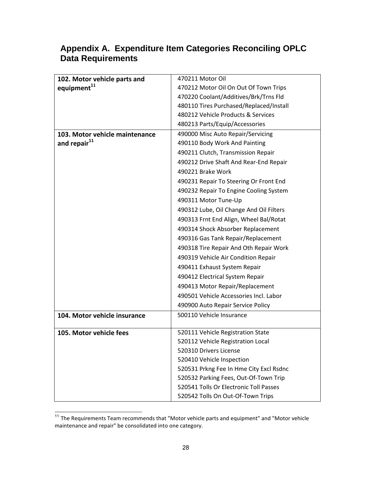| 102. Motor vehicle parts and   | 470211 Motor Oil                        |  |  |  |
|--------------------------------|-----------------------------------------|--|--|--|
| equipment <sup>11</sup>        | 470212 Motor Oil On Out Of Town Trips   |  |  |  |
|                                | 470220 Coolant/Additives/Brk/Trns Fld   |  |  |  |
|                                | 480110 Tires Purchased/Replaced/Install |  |  |  |
|                                | 480212 Vehicle Products & Services      |  |  |  |
|                                | 480213 Parts/Equip/Accessories          |  |  |  |
| 103. Motor vehicle maintenance | 490000 Misc Auto Repair/Servicing       |  |  |  |
| and repair <sup>11</sup>       | 490110 Body Work And Painting           |  |  |  |
|                                | 490211 Clutch, Transmission Repair      |  |  |  |
|                                | 490212 Drive Shaft And Rear-End Repair  |  |  |  |
|                                | 490221 Brake Work                       |  |  |  |
|                                | 490231 Repair To Steering Or Front End  |  |  |  |
|                                | 490232 Repair To Engine Cooling System  |  |  |  |
|                                | 490311 Motor Tune-Up                    |  |  |  |
|                                | 490312 Lube, Oil Change And Oil Filters |  |  |  |
|                                | 490313 Frnt End Align, Wheel Bal/Rotat  |  |  |  |
|                                | 490314 Shock Absorber Replacement       |  |  |  |
|                                | 490316 Gas Tank Repair/Replacement      |  |  |  |
|                                | 490318 Tire Repair And Oth Repair Work  |  |  |  |
|                                | 490319 Vehicle Air Condition Repair     |  |  |  |
|                                | 490411 Exhaust System Repair            |  |  |  |
|                                | 490412 Electrical System Repair         |  |  |  |
|                                | 490413 Motor Repair/Replacement         |  |  |  |
|                                | 490501 Vehicle Accessories Incl. Labor  |  |  |  |
|                                | 490900 Auto Repair Service Policy       |  |  |  |
| 104. Motor vehicle insurance   | 500110 Vehicle Insurance                |  |  |  |
| 105. Motor vehicle fees        | 520111 Vehicle Registration State       |  |  |  |
|                                | 520112 Vehicle Registration Local       |  |  |  |
|                                | 520310 Drivers License                  |  |  |  |
|                                | 520410 Vehicle Inspection               |  |  |  |
|                                | 520531 Prkng Fee In Hme City Excl Rsdnc |  |  |  |
|                                | 520532 Parking Fees, Out-Of-Town Trip   |  |  |  |
|                                | 520541 Tolls Or Electronic Toll Passes  |  |  |  |
|                                | 520542 Tolls On Out-Of-Town Trips       |  |  |  |

<sup>&</sup>lt;sup>11</sup> The Requirements Team recommends that "Motor vehicle parts and equipment" and "Motor vehicle maintenance and repair" be consolidated into one category.

 $\overline{\phantom{a}}$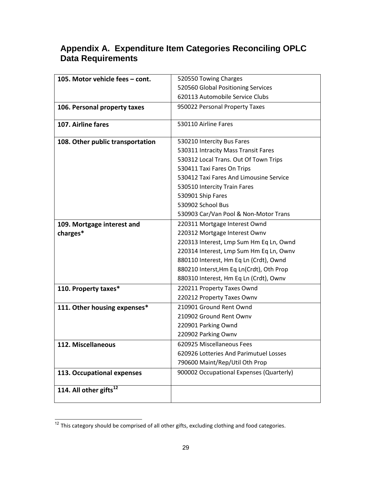| 105. Motor vehicle fees - cont.  | 520550 Towing Charges                    |  |  |  |
|----------------------------------|------------------------------------------|--|--|--|
|                                  | 520560 Global Positioning Services       |  |  |  |
|                                  | 620113 Automobile Service Clubs          |  |  |  |
| 106. Personal property taxes     | 950022 Personal Property Taxes           |  |  |  |
|                                  |                                          |  |  |  |
| 107. Airline fares               | 530110 Airline Fares                     |  |  |  |
|                                  |                                          |  |  |  |
| 108. Other public transportation | 530210 Intercity Bus Fares               |  |  |  |
|                                  | 530311 Intracity Mass Transit Fares      |  |  |  |
|                                  | 530312 Local Trans. Out Of Town Trips    |  |  |  |
|                                  | 530411 Taxi Fares On Trips               |  |  |  |
|                                  | 530412 Taxi Fares And Limousine Service  |  |  |  |
|                                  | 530510 Intercity Train Fares             |  |  |  |
|                                  | 530901 Ship Fares                        |  |  |  |
|                                  | 530902 School Bus                        |  |  |  |
|                                  | 530903 Car/Van Pool & Non-Motor Trans    |  |  |  |
| 109. Mortgage interest and       | 220311 Mortgage Interest Ownd            |  |  |  |
| charges*                         | 220312 Mortgage Interest Ownv            |  |  |  |
|                                  | 220313 Interest, Lmp Sum Hm Eq Ln, Ownd  |  |  |  |
|                                  | 220314 Interest, Lmp Sum Hm Eq Ln, Ownv  |  |  |  |
|                                  | 880110 Interest, Hm Eq Ln (Crdt), Ownd   |  |  |  |
|                                  | 880210 Interst, Hm Eq Ln(Crdt), Oth Prop |  |  |  |
|                                  | 880310 Interest, Hm Eq Ln (Crdt), Ownv   |  |  |  |
| 110. Property taxes*             | 220211 Property Taxes Ownd               |  |  |  |
|                                  | 220212 Property Taxes Ownv               |  |  |  |
| 111. Other housing expenses*     | 210901 Ground Rent Ownd                  |  |  |  |
|                                  | 210902 Ground Rent Ownv                  |  |  |  |
|                                  | 220901 Parking Ownd                      |  |  |  |
|                                  | 220902 Parking Ownv                      |  |  |  |
| 112. Miscellaneous               | 620925 Miscellaneous Fees                |  |  |  |
|                                  | 620926 Lotteries And Parimutuel Losses   |  |  |  |
|                                  | 790600 Maint/Rep/Util Oth Prop           |  |  |  |
| 113. Occupational expenses       | 900002 Occupational Expenses (Quarterly) |  |  |  |
|                                  |                                          |  |  |  |
| 114. All other gifts $^{12}$     |                                          |  |  |  |
|                                  |                                          |  |  |  |

 $\overline{\phantom{a}}$  $12$  This category should be comprised of all other gifts, excluding clothing and food categories.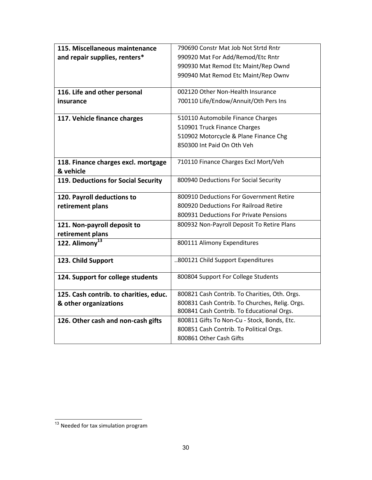| 115. Miscellaneous maintenance         | 790690 Constr Mat Job Not Strtd Rntr           |  |  |  |
|----------------------------------------|------------------------------------------------|--|--|--|
| and repair supplies, renters*          | 990920 Mat For Add/Remod/Etc Rntr              |  |  |  |
|                                        | 990930 Mat Remod Etc Maint/Rep Ownd            |  |  |  |
|                                        | 990940 Mat Remod Etc Maint/Rep Ownv            |  |  |  |
|                                        |                                                |  |  |  |
| 116. Life and other personal           | 002120 Other Non-Health Insurance              |  |  |  |
| insurance                              | 700110 Life/Endow/Annuit/Oth Pers Ins          |  |  |  |
|                                        |                                                |  |  |  |
| 117. Vehicle finance charges           | 510110 Automobile Finance Charges              |  |  |  |
|                                        | 510901 Truck Finance Charges                   |  |  |  |
|                                        | 510902 Motorcycle & Plane Finance Chg          |  |  |  |
|                                        | 850300 Int Paid On Oth Veh                     |  |  |  |
|                                        |                                                |  |  |  |
| 118. Finance charges excl. mortgage    | 710110 Finance Charges Excl Mort/Veh           |  |  |  |
| & vehicle                              |                                                |  |  |  |
| 119. Deductions for Social Security    | 800940 Deductions For Social Security          |  |  |  |
| 120. Payroll deductions to             | 800910 Deductions For Government Retire        |  |  |  |
| retirement plans                       | 800920 Deductions For Railroad Retire          |  |  |  |
|                                        | 800931 Deductions For Private Pensions         |  |  |  |
| 121. Non-payroll deposit to            | 800932 Non-Payroll Deposit To Retire Plans     |  |  |  |
| retirement plans                       |                                                |  |  |  |
| 122. Alimony <sup>13</sup>             | 800111 Alimony Expenditures                    |  |  |  |
|                                        |                                                |  |  |  |
| 123. Child Support                     | 800121 Child Support Expenditures              |  |  |  |
|                                        |                                                |  |  |  |
| 124. Support for college students      | 800804 Support For College Students            |  |  |  |
|                                        |                                                |  |  |  |
| 125. Cash contrib. to charities, educ. | 800821 Cash Contrib. To Charities, Oth. Orgs.  |  |  |  |
| & other organizations                  | 800831 Cash Contrib. To Churches, Relig. Orgs. |  |  |  |
|                                        | 800841 Cash Contrib. To Educational Orgs.      |  |  |  |
| 126. Other cash and non-cash gifts     | 800811 Gifts To Non-Cu - Stock, Bonds, Etc.    |  |  |  |
|                                        | 800851 Cash Contrib. To Political Orgs.        |  |  |  |
|                                        | 800861 Other Cash Gifts                        |  |  |  |

<sup>&</sup>lt;sup>13</sup> Needed for tax simulation program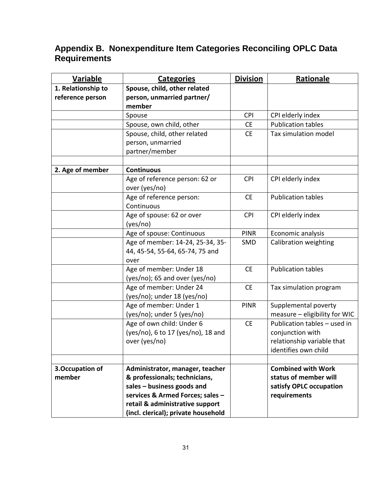| <b>Variable</b>    | <b>Categories</b>                                                   | <b>Division</b> | Rationale                     |
|--------------------|---------------------------------------------------------------------|-----------------|-------------------------------|
| 1. Relationship to | Spouse, child, other related                                        |                 |                               |
| reference person   | person, unmarried partner/                                          |                 |                               |
|                    | member                                                              |                 |                               |
|                    | Spouse                                                              | <b>CPI</b>      | CPI elderly index             |
|                    | Spouse, own child, other                                            | <b>CE</b>       | <b>Publication tables</b>     |
|                    | Spouse, child, other related                                        | <b>CE</b>       | Tax simulation model          |
|                    | person, unmarried                                                   |                 |                               |
|                    | partner/member                                                      |                 |                               |
|                    |                                                                     |                 |                               |
| 2. Age of member   | <b>Continuous</b>                                                   |                 |                               |
|                    | Age of reference person: 62 or                                      | <b>CPI</b>      | CPI elderly index             |
|                    | over (yes/no)                                                       |                 |                               |
|                    | Age of reference person:                                            | <b>CE</b>       | <b>Publication tables</b>     |
|                    | Continuous<br>Age of spouse: 62 or over                             | <b>CPI</b>      | CPI elderly index             |
|                    | (yes/no)                                                            |                 |                               |
|                    | Age of spouse: Continuous                                           | <b>PINR</b>     | Economic analysis             |
|                    | Age of member: 14-24, 25-34, 35-                                    | SMD             | Calibration weighting         |
|                    | 44, 45-54, 55-64, 65-74, 75 and                                     |                 |                               |
|                    | over                                                                |                 |                               |
|                    | Age of member: Under 18                                             | <b>CE</b>       | <b>Publication tables</b>     |
|                    | (yes/no); 65 and over (yes/no)                                      |                 |                               |
|                    | Age of member: Under 24                                             | <b>CE</b>       | Tax simulation program        |
|                    | (yes/no); under 18 (yes/no)                                         |                 |                               |
|                    | Age of member: Under 1                                              | <b>PINR</b>     | Supplemental poverty          |
|                    | (yes/no); under 5 (yes/no)                                          |                 | measure - eligibility for WIC |
|                    | Age of own child: Under 6                                           | <b>CE</b>       | Publication tables - used in  |
|                    | (yes/no), 6 to 17 (yes/no), 18 and                                  |                 | conjunction with              |
|                    | over (yes/no)                                                       |                 | relationship variable that    |
|                    |                                                                     |                 | identifies own child          |
|                    |                                                                     |                 |                               |
| 3. Occupation of   | Administrator, manager, teacher                                     |                 | <b>Combined with Work</b>     |
| member             | & professionals; technicians,                                       |                 | status of member will         |
|                    | sales - business goods and                                          |                 | satisfy OPLC occupation       |
|                    | services & Armed Forces; sales -<br>retail & administrative support |                 | requirements                  |
|                    | (incl. clerical); private household                                 |                 |                               |
|                    |                                                                     |                 |                               |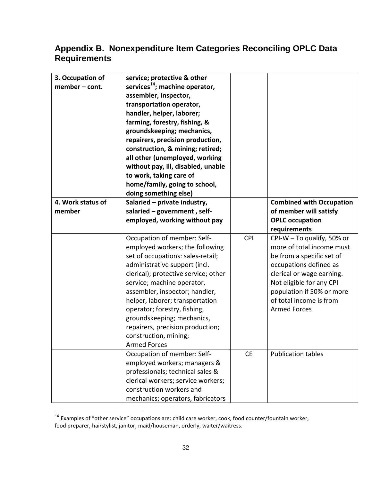| 3. Occupation of<br>member - cont. | service; protective & other<br>services $^{14}$ ; machine operator,<br>assembler, inspector,<br>transportation operator,<br>handler, helper, laborer;<br>farming, forestry, fishing, &<br>groundskeeping; mechanics,<br>repairers, precision production,<br>construction, & mining; retired;<br>all other (unemployed, working<br>without pay, ill, disabled, unable<br>to work, taking care of<br>home/family, going to school,<br>doing something else) |            |                                                                                                                                                                                                                                                        |
|------------------------------------|-----------------------------------------------------------------------------------------------------------------------------------------------------------------------------------------------------------------------------------------------------------------------------------------------------------------------------------------------------------------------------------------------------------------------------------------------------------|------------|--------------------------------------------------------------------------------------------------------------------------------------------------------------------------------------------------------------------------------------------------------|
| 4. Work status of<br>member        | Salaried - private industry,<br>salaried $-$ government, self-                                                                                                                                                                                                                                                                                                                                                                                            |            | <b>Combined with Occupation</b><br>of member will satisfy                                                                                                                                                                                              |
|                                    | employed, working without pay                                                                                                                                                                                                                                                                                                                                                                                                                             |            | <b>OPLC occupation</b>                                                                                                                                                                                                                                 |
|                                    |                                                                                                                                                                                                                                                                                                                                                                                                                                                           |            | requirements                                                                                                                                                                                                                                           |
|                                    | Occupation of member: Self-<br>employed workers; the following<br>set of occupations: sales-retail;<br>administrative support (incl.<br>clerical); protective service; other<br>service; machine operator,<br>assembler, inspector; handler,<br>helper, laborer; transportation<br>operator; forestry, fishing,<br>groundskeeping; mechanics,<br>repairers, precision production;<br>construction, mining;<br><b>Armed Forces</b>                         | <b>CPI</b> | CPI-W - To qualify, 50% or<br>more of total income must<br>be from a specific set of<br>occupations defined as<br>clerical or wage earning.<br>Not eligible for any CPI<br>population if 50% or more<br>of total income is from<br><b>Armed Forces</b> |
|                                    | Occupation of member: Self-<br>employed workers; managers &<br>professionals; technical sales &<br>clerical workers; service workers;<br>construction workers and<br>mechanics; operators, fabricators                                                                                                                                                                                                                                                    | <b>CE</b>  | <b>Publication tables</b>                                                                                                                                                                                                                              |

<sup>&</sup>lt;sup>14</sup> Examples of "other service" occupations are: child care worker, cook, food counter/fountain worker, food preparer, hairstylist, janitor, maid/houseman, orderly, waiter/waitress.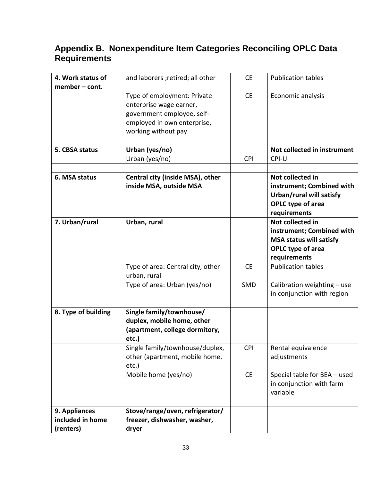| 4. Work status of                              | and laborers ; retired; all other                                                                                                          | <b>CE</b>  | <b>Publication tables</b>                                                                                            |
|------------------------------------------------|--------------------------------------------------------------------------------------------------------------------------------------------|------------|----------------------------------------------------------------------------------------------------------------------|
| member - cont.                                 | Type of employment: Private<br>enterprise wage earner,<br>government employee, self-<br>employed in own enterprise,<br>working without pay | <b>CE</b>  | Economic analysis                                                                                                    |
| 5. CBSA status                                 | Urban (yes/no)                                                                                                                             |            | Not collected in instrument                                                                                          |
|                                                | Urban (yes/no)                                                                                                                             | <b>CPI</b> | CPI-U                                                                                                                |
|                                                |                                                                                                                                            |            |                                                                                                                      |
| 6. MSA status                                  | Central city (inside MSA), other<br>inside MSA, outside MSA                                                                                |            | Not collected in<br>instrument; Combined with<br>Urban/rural will satisfy<br>OPLC type of area<br>requirements       |
| 7. Urban/rural                                 | Urban, rural                                                                                                                               |            | Not collected in<br>instrument; Combined with<br><b>MSA status will satisfy</b><br>OPLC type of area<br>requirements |
|                                                | Type of area: Central city, other<br>urban, rural                                                                                          | <b>CE</b>  | <b>Publication tables</b>                                                                                            |
|                                                | Type of area: Urban (yes/no)                                                                                                               | SMD        | Calibration weighting - use<br>in conjunction with region                                                            |
| 8. Type of building                            | Single family/townhouse/<br>duplex, mobile home, other<br>(apartment, college dormitory,<br>etc.)                                          |            |                                                                                                                      |
|                                                | Single family/townhouse/duplex,<br>other (apartment, mobile home,<br>$etc.$ )                                                              | <b>CPI</b> | Rental equivalence<br>adjustments                                                                                    |
|                                                | Mobile home (yes/no)                                                                                                                       | <b>CE</b>  | Special table for BEA - used<br>in conjunction with farm<br>variable                                                 |
| 9. Appliances<br>included in home<br>(renters) | Stove/range/oven, refrigerator/<br>freezer, dishwasher, washer,<br>dryer                                                                   |            |                                                                                                                      |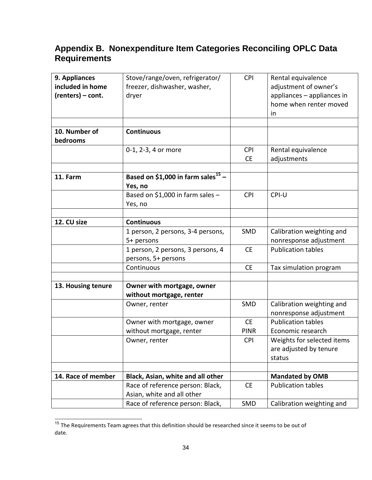| 9. Appliances      | Stove/range/oven, refrigerator/                | <b>CPI</b>  | Rental equivalence         |
|--------------------|------------------------------------------------|-------------|----------------------------|
| included in home   | freezer, dishwasher, washer,                   |             | adjustment of owner's      |
| (renters) - cont.  | dryer                                          |             | appliances - appliances in |
|                    |                                                |             | home when renter moved     |
|                    |                                                |             | in                         |
|                    |                                                |             |                            |
| 10. Number of      | <b>Continuous</b>                              |             |                            |
| bedrooms           |                                                |             |                            |
|                    | 0-1, 2-3, 4 or more                            | <b>CPI</b>  | Rental equivalence         |
|                    |                                                | <b>CE</b>   | adjustments                |
|                    |                                                |             |                            |
| 11. Farm           | Based on \$1,000 in farm sales <sup>15</sup> - |             |                            |
|                    | Yes, no                                        |             |                            |
|                    | Based on \$1,000 in farm sales -               | <b>CPI</b>  | CPI-U                      |
|                    | Yes, no                                        |             |                            |
|                    |                                                |             |                            |
| 12. CU size        | <b>Continuous</b>                              |             |                            |
|                    | 1 person, 2 persons, 3-4 persons,              | SMD         | Calibration weighting and  |
|                    | 5+ persons                                     |             | nonresponse adjustment     |
|                    | 1 person, 2 persons, 3 persons, 4              | <b>CE</b>   | <b>Publication tables</b>  |
|                    | persons, 5+ persons                            |             |                            |
|                    | Continuous                                     | <b>CE</b>   | Tax simulation program     |
| 13. Housing tenure | Owner with mortgage, owner                     |             |                            |
|                    | without mortgage, renter                       |             |                            |
|                    | Owner, renter                                  | SMD         | Calibration weighting and  |
|                    |                                                |             | nonresponse adjustment     |
|                    | Owner with mortgage, owner                     | <b>CE</b>   | <b>Publication tables</b>  |
|                    | without mortgage, renter                       | <b>PINR</b> | Economic research          |
|                    | Owner, renter                                  | <b>CPI</b>  | Weights for selected items |
|                    |                                                |             | are adjusted by tenure     |
|                    |                                                |             | status                     |
|                    |                                                |             |                            |
| 14. Race of member | Black, Asian, white and all other              |             | <b>Mandated by OMB</b>     |
|                    | Race of reference person: Black,               | <b>CE</b>   | <b>Publication tables</b>  |
|                    | Asian, white and all other                     |             |                            |
|                    | Race of reference person: Black,               | SMD         | Calibration weighting and  |

 $\overline{\phantom{a}}$  $15$  The Requirements Team agrees that this definition should be researched since it seems to be out of date.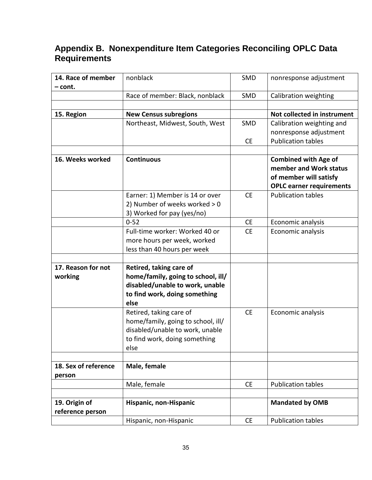| 14. Race of member<br>– cont. | nonblack                           | SMD       | nonresponse adjustment                                |
|-------------------------------|------------------------------------|-----------|-------------------------------------------------------|
|                               | Race of member: Black, nonblack    | SMD       | Calibration weighting                                 |
|                               |                                    |           |                                                       |
| 15. Region                    | <b>New Census subregions</b>       |           | Not collected in instrument                           |
|                               | Northeast, Midwest, South, West    | SMD       | Calibration weighting and                             |
|                               |                                    |           | nonresponse adjustment                                |
|                               |                                    | <b>CE</b> | <b>Publication tables</b>                             |
|                               |                                    |           |                                                       |
| 16. Weeks worked              | <b>Continuous</b>                  |           | <b>Combined with Age of</b><br>member and Work status |
|                               |                                    |           | of member will satisfy                                |
|                               |                                    |           | <b>OPLC earner requirements</b>                       |
|                               | Earner: 1) Member is 14 or over    | <b>CE</b> | <b>Publication tables</b>                             |
|                               | 2) Number of weeks worked > 0      |           |                                                       |
|                               | 3) Worked for pay (yes/no)         |           |                                                       |
|                               | $0 - 52$                           | <b>CE</b> | Economic analysis                                     |
|                               | Full-time worker: Worked 40 or     | <b>CE</b> | Economic analysis                                     |
|                               | more hours per week, worked        |           |                                                       |
|                               | less than 40 hours per week        |           |                                                       |
|                               |                                    |           |                                                       |
| 17. Reason for not            | Retired, taking care of            |           |                                                       |
| working                       | home/family, going to school, ill/ |           |                                                       |
|                               | disabled/unable to work, unable    |           |                                                       |
|                               | to find work, doing something      |           |                                                       |
|                               | else                               |           |                                                       |
|                               | Retired, taking care of            | <b>CE</b> | Economic analysis                                     |
|                               | home/family, going to school, ill/ |           |                                                       |
|                               | disabled/unable to work, unable    |           |                                                       |
|                               | to find work, doing something      |           |                                                       |
|                               | else                               |           |                                                       |
| 18. Sex of reference          | Male, female                       |           |                                                       |
| person                        |                                    |           |                                                       |
|                               | Male, female                       | <b>CE</b> | <b>Publication tables</b>                             |
|                               |                                    |           |                                                       |
| 19. Origin of                 | Hispanic, non-Hispanic             |           | <b>Mandated by OMB</b>                                |
| reference person              |                                    |           |                                                       |
|                               | Hispanic, non-Hispanic             | <b>CE</b> | <b>Publication tables</b>                             |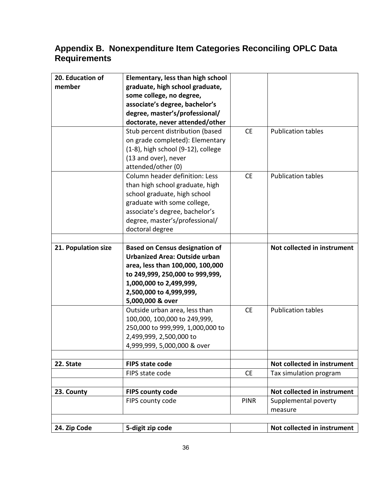| 20. Education of    | Elementary, less than high school        |             |                             |
|---------------------|------------------------------------------|-------------|-----------------------------|
| member              | graduate, high school graduate,          |             |                             |
|                     | some college, no degree,                 |             |                             |
|                     | associate's degree, bachelor's           |             |                             |
|                     | degree, master's/professional/           |             |                             |
|                     | doctorate, never attended/other          |             |                             |
|                     | Stub percent distribution (based         | <b>CE</b>   | <b>Publication tables</b>   |
|                     | on grade completed): Elementary          |             |                             |
|                     | $(1-8)$ , high school $(9-12)$ , college |             |                             |
|                     | (13 and over), never                     |             |                             |
|                     | attended/other (0)                       |             |                             |
|                     | Column header definition: Less           | <b>CE</b>   | <b>Publication tables</b>   |
|                     | than high school graduate, high          |             |                             |
|                     | school graduate, high school             |             |                             |
|                     | graduate with some college,              |             |                             |
|                     | associate's degree, bachelor's           |             |                             |
|                     | degree, master's/professional/           |             |                             |
|                     | doctoral degree                          |             |                             |
|                     |                                          |             |                             |
| 21. Population size | <b>Based on Census designation of</b>    |             | Not collected in instrument |
|                     | <b>Urbanized Area: Outside urban</b>     |             |                             |
|                     | area, less than 100,000, 100,000         |             |                             |
|                     | to 249,999, 250,000 to 999,999,          |             |                             |
|                     | 1,000,000 to 2,499,999,                  |             |                             |
|                     | 2,500,000 to 4,999,999,                  |             |                             |
|                     | 5,000,000 & over                         |             |                             |
|                     | Outside urban area, less than            | <b>CE</b>   | <b>Publication tables</b>   |
|                     | 100,000, 100,000 to 249,999,             |             |                             |
|                     | 250,000 to 999,999, 1,000,000 to         |             |                             |
|                     | 2,499,999, 2,500,000 to                  |             |                             |
|                     | 4,999,999, 5,000,000 & over              |             |                             |
|                     |                                          |             |                             |
| 22. State           | <b>FIPS state code</b>                   |             | Not collected in instrument |
|                     | FIPS state code                          | <b>CE</b>   | Tax simulation program      |
|                     |                                          |             | Not collected in instrument |
| 23. County          | <b>FIPS county code</b>                  | <b>PINR</b> |                             |
|                     | FIPS county code                         |             | Supplemental poverty        |
|                     |                                          |             | measure                     |
|                     |                                          |             |                             |
| 24. Zip Code        | 5-digit zip code                         |             | Not collected in instrument |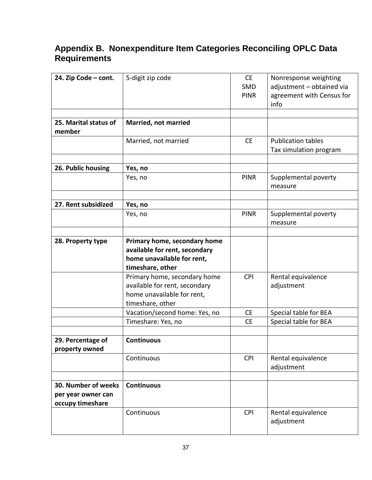| 24. Zip Code - cont.            | 5-digit zip code              | <b>CE</b>   | Nonresponse weighting            |
|---------------------------------|-------------------------------|-------------|----------------------------------|
|                                 |                               | <b>SMD</b>  | adjustment - obtained via        |
|                                 |                               | <b>PINR</b> | agreement with Census for        |
|                                 |                               |             | info                             |
|                                 |                               |             |                                  |
| 25. Marital status of<br>member | <b>Married, not married</b>   |             |                                  |
|                                 | Married, not married          | <b>CE</b>   | <b>Publication tables</b>        |
|                                 |                               |             | Tax simulation program           |
|                                 |                               |             |                                  |
| 26. Public housing              | Yes, no                       |             |                                  |
|                                 | Yes, no                       | <b>PINR</b> | Supplemental poverty<br>measure  |
|                                 |                               |             |                                  |
| 27. Rent subsidized             | Yes, no                       |             |                                  |
|                                 | Yes, no                       | <b>PINR</b> | Supplemental poverty<br>measure  |
|                                 |                               |             |                                  |
| 28. Property type               | Primary home, secondary home  |             |                                  |
|                                 | available for rent, secondary |             |                                  |
|                                 | home unavailable for rent,    |             |                                  |
|                                 | timeshare, other              |             |                                  |
|                                 | Primary home, secondary home  | <b>CPI</b>  | Rental equivalence               |
|                                 | available for rent, secondary |             | adjustment                       |
|                                 | home unavailable for rent,    |             |                                  |
|                                 | timeshare, other              |             |                                  |
|                                 | Vacation/second home: Yes, no | <b>CE</b>   | Special table for BEA            |
|                                 | Timeshare: Yes, no            | <b>CE</b>   | Special table for BEA            |
|                                 | <b>Continuous</b>             |             |                                  |
| 29. Percentage of               |                               |             |                                  |
| property owned                  | Continuous                    | <b>CPI</b>  |                                  |
|                                 |                               |             | Rental equivalence<br>adjustment |
|                                 |                               |             |                                  |
| 30. Number of weeks             | <b>Continuous</b>             |             |                                  |
| per year owner can              |                               |             |                                  |
| occupy timeshare                |                               |             |                                  |
|                                 | Continuous                    | <b>CPI</b>  | Rental equivalence               |
|                                 |                               |             | adjustment                       |
|                                 |                               |             |                                  |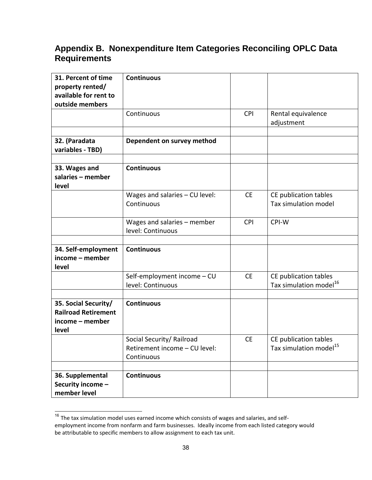| 31. Percent of time<br>property rented/                                        | <b>Continuous</b>                                                        |            |                                                             |
|--------------------------------------------------------------------------------|--------------------------------------------------------------------------|------------|-------------------------------------------------------------|
| available for rent to<br>outside members                                       |                                                                          |            |                                                             |
|                                                                                | Continuous                                                               | CPI        | Rental equivalence<br>adjustment                            |
|                                                                                |                                                                          |            |                                                             |
| 32. (Paradata<br>variables - TBD)                                              | Dependent on survey method                                               |            |                                                             |
| 33. Wages and                                                                  | <b>Continuous</b>                                                        |            |                                                             |
| salaries - member<br>level                                                     |                                                                          |            |                                                             |
|                                                                                | Wages and salaries - CU level:<br>Continuous                             | <b>CE</b>  | CE publication tables<br>Tax simulation model               |
|                                                                                | Wages and salaries - member<br>level: Continuous                         | <b>CPI</b> | CPI-W                                                       |
| 34. Self-employment<br>income - member<br>level                                | <b>Continuous</b>                                                        |            |                                                             |
|                                                                                | Self-employment income - CU<br>level: Continuous                         | <b>CE</b>  | CE publication tables<br>Tax simulation model <sup>16</sup> |
| 35. Social Security/<br><b>Railroad Retirement</b><br>income - member<br>level | <b>Continuous</b>                                                        |            |                                                             |
|                                                                                | Social Security/ Railroad<br>Retirement income - CU level:<br>Continuous | <b>CE</b>  | CE publication tables<br>Tax simulation model <sup>15</sup> |
| 36. Supplemental<br>Security income -<br>member level                          | <b>Continuous</b>                                                        |            |                                                             |

 $^{16}$  The tax simulation model uses earned income which consists of wages and salaries, and selfemployment income from nonfarm and farm businesses. Ideally income from each listed category would

be attributable to specific members to allow assignment to each tax unit.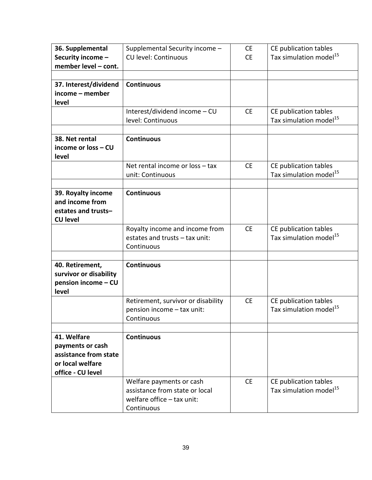| 36. Supplemental       | Supplemental Security income -     | <b>CE</b> | CE publication tables              |
|------------------------|------------------------------------|-----------|------------------------------------|
| Security income -      | <b>CU level: Continuous</b>        | <b>CE</b> | Tax simulation model <sup>15</sup> |
| member level - cont.   |                                    |           |                                    |
|                        |                                    |           |                                    |
| 37. Interest/dividend  | <b>Continuous</b>                  |           |                                    |
| income - member        |                                    |           |                                    |
| level                  |                                    |           |                                    |
|                        | Interest/dividend income - CU      | <b>CE</b> | CE publication tables              |
|                        | level: Continuous                  |           | Tax simulation model <sup>15</sup> |
|                        |                                    |           |                                    |
| 38. Net rental         | <b>Continuous</b>                  |           |                                    |
| income or loss - CU    |                                    |           |                                    |
| level                  |                                    |           |                                    |
|                        | Net rental income or loss - tax    | <b>CE</b> | CE publication tables              |
|                        | unit: Continuous                   |           | Tax simulation model <sup>15</sup> |
|                        |                                    |           |                                    |
| 39. Royalty income     | <b>Continuous</b>                  |           |                                    |
| and income from        |                                    |           |                                    |
| estates and trusts-    |                                    |           |                                    |
| <b>CU level</b>        |                                    |           |                                    |
|                        | Royalty income and income from     | <b>CE</b> | CE publication tables              |
|                        | estates and trusts - tax unit:     |           | Tax simulation model <sup>15</sup> |
|                        | Continuous                         |           |                                    |
|                        |                                    |           |                                    |
| 40. Retirement,        | <b>Continuous</b>                  |           |                                    |
| survivor or disability |                                    |           |                                    |
| pension income - CU    |                                    |           |                                    |
| level                  |                                    |           |                                    |
|                        | Retirement, survivor or disability | <b>CE</b> | CE publication tables              |
|                        | pension income - tax unit:         |           | Tax simulation model <sup>15</sup> |
|                        | Continuous                         |           |                                    |
|                        |                                    |           |                                    |
| 41. Welfare            | <b>Continuous</b>                  |           |                                    |
| payments or cash       |                                    |           |                                    |
| assistance from state  |                                    |           |                                    |
| or local welfare       |                                    |           |                                    |
| office - CU level      |                                    |           |                                    |
|                        | Welfare payments or cash           | <b>CE</b> | CE publication tables              |
|                        | assistance from state or local     |           | Tax simulation model <sup>15</sup> |
|                        | welfare office $-$ tax unit:       |           |                                    |
|                        | Continuous                         |           |                                    |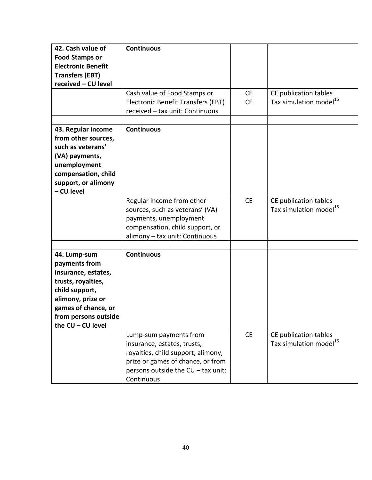| 42. Cash value of         | <b>Continuous</b>                  |           |                                    |
|---------------------------|------------------------------------|-----------|------------------------------------|
| <b>Food Stamps or</b>     |                                    |           |                                    |
| <b>Electronic Benefit</b> |                                    |           |                                    |
| <b>Transfers (EBT)</b>    |                                    |           |                                    |
| received - CU level       |                                    |           |                                    |
|                           | Cash value of Food Stamps or       | <b>CE</b> | CE publication tables              |
|                           | Electronic Benefit Transfers (EBT) | <b>CE</b> | Tax simulation model <sup>15</sup> |
|                           | received - tax unit: Continuous    |           |                                    |
|                           |                                    |           |                                    |
| 43. Regular income        | <b>Continuous</b>                  |           |                                    |
| from other sources,       |                                    |           |                                    |
| such as veterans'         |                                    |           |                                    |
| (VA) payments,            |                                    |           |                                    |
| unemployment              |                                    |           |                                    |
| compensation, child       |                                    |           |                                    |
| support, or alimony       |                                    |           |                                    |
| - CU level                |                                    |           |                                    |
|                           | Regular income from other          | <b>CE</b> | CE publication tables              |
|                           | sources, such as veterans' (VA)    |           | Tax simulation model <sup>15</sup> |
|                           | payments, unemployment             |           |                                    |
|                           | compensation, child support, or    |           |                                    |
|                           | alimony - tax unit: Continuous     |           |                                    |
|                           |                                    |           |                                    |
| 44. Lump-sum              | <b>Continuous</b>                  |           |                                    |
| payments from             |                                    |           |                                    |
| insurance, estates,       |                                    |           |                                    |
| trusts, royalties,        |                                    |           |                                    |
| child support,            |                                    |           |                                    |
| alimony, prize or         |                                    |           |                                    |
| games of chance, or       |                                    |           |                                    |
| from persons outside      |                                    |           |                                    |
| the CU - CU level         |                                    |           |                                    |
|                           | Lump-sum payments from             | <b>CE</b> | CE publication tables              |
|                           | insurance, estates, trusts,        |           | Tax simulation model <sup>15</sup> |
|                           | royalties, child support, alimony, |           |                                    |
|                           | prize or games of chance, or from  |           |                                    |
|                           | persons outside the CU - tax unit: |           |                                    |
|                           | Continuous                         |           |                                    |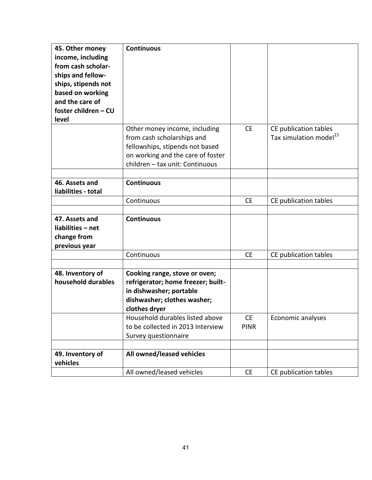| 45. Other money      | <b>Continuous</b>                  |             |                                    |
|----------------------|------------------------------------|-------------|------------------------------------|
| income, including    |                                    |             |                                    |
| from cash scholar-   |                                    |             |                                    |
| ships and fellow-    |                                    |             |                                    |
| ships, stipends not  |                                    |             |                                    |
| based on working     |                                    |             |                                    |
| and the care of      |                                    |             |                                    |
| foster children - CU |                                    |             |                                    |
| level                |                                    |             |                                    |
|                      | Other money income, including      | <b>CE</b>   | CE publication tables              |
|                      | from cash scholarships and         |             | Tax simulation model <sup>15</sup> |
|                      | fellowships, stipends not based    |             |                                    |
|                      | on working and the care of foster  |             |                                    |
|                      | children - tax unit: Continuous    |             |                                    |
| 46. Assets and       |                                    |             |                                    |
|                      | <b>Continuous</b>                  |             |                                    |
| liabilities - total  |                                    |             |                                    |
|                      | Continuous                         | <b>CE</b>   | CE publication tables              |
| 47. Assets and       | <b>Continuous</b>                  |             |                                    |
| liabilities - net    |                                    |             |                                    |
| change from          |                                    |             |                                    |
| previous year        |                                    |             |                                    |
|                      | Continuous                         | <b>CE</b>   | CE publication tables              |
|                      |                                    |             |                                    |
| 48. Inventory of     | Cooking range, stove or oven;      |             |                                    |
| household durables   | refrigerator; home freezer; built- |             |                                    |
|                      | in dishwasher; portable            |             |                                    |
|                      | dishwasher; clothes washer;        |             |                                    |
|                      | clothes dryer                      |             |                                    |
|                      | Household durables listed above    | <b>CE</b>   | Economic analyses                  |
|                      | to be collected in 2013 Interview  | <b>PINR</b> |                                    |
|                      | Survey questionnaire               |             |                                    |
|                      |                                    |             |                                    |
| 49. Inventory of     | All owned/leased vehicles          |             |                                    |
| vehicles             |                                    |             |                                    |
|                      | All owned/leased vehicles          | <b>CE</b>   | CE publication tables              |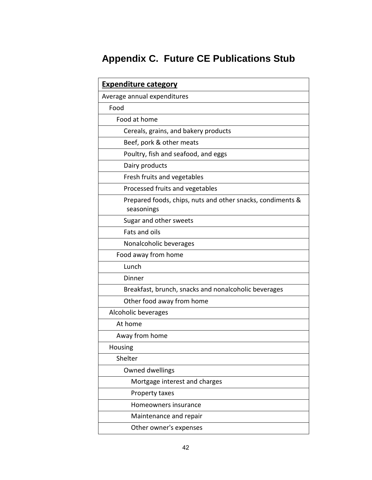| <b>Expenditure category</b>                                              |
|--------------------------------------------------------------------------|
| Average annual expenditures                                              |
| Food                                                                     |
| Food at home                                                             |
| Cereals, grains, and bakery products                                     |
| Beef, pork & other meats                                                 |
| Poultry, fish and seafood, and eggs                                      |
| Dairy products                                                           |
| Fresh fruits and vegetables                                              |
| Processed fruits and vegetables                                          |
| Prepared foods, chips, nuts and other snacks, condiments &<br>seasonings |
| Sugar and other sweets                                                   |
| Fats and oils                                                            |
| Nonalcoholic beverages                                                   |
| Food away from home                                                      |
| Lunch                                                                    |
| Dinner                                                                   |
| Breakfast, brunch, snacks and nonalcoholic beverages                     |
| Other food away from home                                                |
| Alcoholic beverages                                                      |
| At home                                                                  |
| Away from home                                                           |
| <b>Housing</b>                                                           |
| Shelter                                                                  |
| Owned dwellings                                                          |
| Mortgage interest and charges                                            |
| Property taxes                                                           |
| Homeowners insurance                                                     |
| Maintenance and repair                                                   |
| Other owner's expenses                                                   |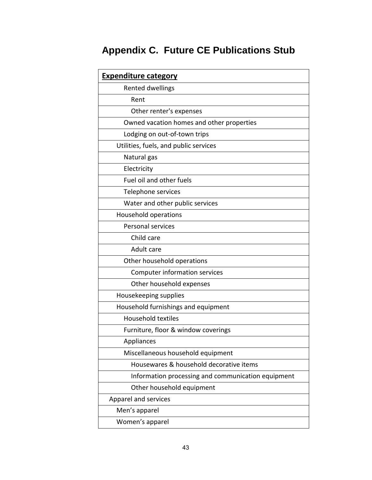| <b>Expenditure category</b>                        |
|----------------------------------------------------|
| Rented dwellings                                   |
| Rent                                               |
| Other renter's expenses                            |
| Owned vacation homes and other properties          |
| Lodging on out-of-town trips                       |
| Utilities, fuels, and public services              |
| Natural gas                                        |
| Electricity                                        |
| Fuel oil and other fuels                           |
| Telephone services                                 |
| Water and other public services                    |
| Household operations                               |
| <b>Personal services</b>                           |
| Child care                                         |
| Adult care                                         |
| Other household operations                         |
| Computer information services                      |
| Other household expenses                           |
| Housekeeping supplies                              |
| Household furnishings and equipment                |
| <b>Household textiles</b>                          |
| Furniture, floor & window coverings                |
| Appliances                                         |
| Miscellaneous household equipment                  |
| Housewares & household decorative items            |
| Information processing and communication equipment |
| Other household equipment                          |
| Apparel and services                               |
| Men's apparel                                      |
| Women's apparel                                    |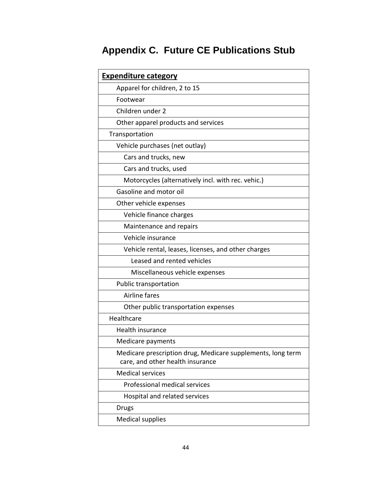| <b>Expenditure category</b>                                                                     |  |  |
|-------------------------------------------------------------------------------------------------|--|--|
| Apparel for children, 2 to 15                                                                   |  |  |
| Footwear                                                                                        |  |  |
| Children under 2                                                                                |  |  |
| Other apparel products and services                                                             |  |  |
| Transportation                                                                                  |  |  |
| Vehicle purchases (net outlay)                                                                  |  |  |
| Cars and trucks, new                                                                            |  |  |
| Cars and trucks, used                                                                           |  |  |
| Motorcycles (alternatively incl. with rec. vehic.)                                              |  |  |
| Gasoline and motor oil                                                                          |  |  |
| Other vehicle expenses                                                                          |  |  |
| Vehicle finance charges                                                                         |  |  |
| Maintenance and repairs                                                                         |  |  |
| Vehicle insurance                                                                               |  |  |
| Vehicle rental, leases, licenses, and other charges                                             |  |  |
| Leased and rented vehicles                                                                      |  |  |
| Miscellaneous vehicle expenses                                                                  |  |  |
| Public transportation                                                                           |  |  |
| Airline fares                                                                                   |  |  |
| Other public transportation expenses                                                            |  |  |
| Healthcare                                                                                      |  |  |
| Health insurance                                                                                |  |  |
| Medicare payments                                                                               |  |  |
| Medicare prescription drug, Medicare supplements, long term<br>care, and other health insurance |  |  |
| <b>Medical services</b>                                                                         |  |  |
| Professional medical services                                                                   |  |  |
| Hospital and related services                                                                   |  |  |
| <b>Drugs</b>                                                                                    |  |  |
| <b>Medical supplies</b>                                                                         |  |  |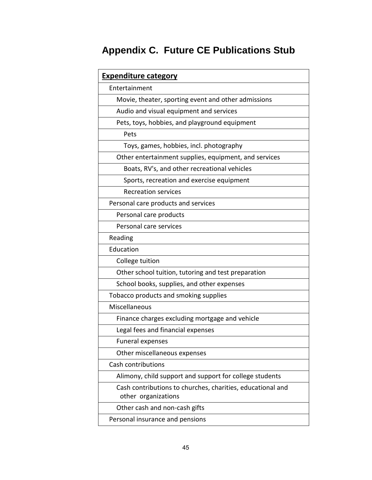| <b>Expenditure category</b>                                                       |  |  |
|-----------------------------------------------------------------------------------|--|--|
| Entertainment                                                                     |  |  |
| Movie, theater, sporting event and other admissions                               |  |  |
| Audio and visual equipment and services                                           |  |  |
| Pets, toys, hobbies, and playground equipment                                     |  |  |
| Pets                                                                              |  |  |
| Toys, games, hobbies, incl. photography                                           |  |  |
| Other entertainment supplies, equipment, and services                             |  |  |
| Boats, RV's, and other recreational vehicles                                      |  |  |
| Sports, recreation and exercise equipment                                         |  |  |
| <b>Recreation services</b>                                                        |  |  |
| Personal care products and services                                               |  |  |
| Personal care products                                                            |  |  |
| Personal care services                                                            |  |  |
| Reading                                                                           |  |  |
| Education                                                                         |  |  |
| College tuition                                                                   |  |  |
| Other school tuition, tutoring and test preparation                               |  |  |
| School books, supplies, and other expenses                                        |  |  |
| Tobacco products and smoking supplies                                             |  |  |
| Miscellaneous                                                                     |  |  |
| Finance charges excluding mortgage and vehicle                                    |  |  |
| Legal fees and financial expenses                                                 |  |  |
| <b>Funeral expenses</b>                                                           |  |  |
| Other miscellaneous expenses                                                      |  |  |
| Cash contributions                                                                |  |  |
| Alimony, child support and support for college students                           |  |  |
| Cash contributions to churches, charities, educational and<br>other organizations |  |  |
| Other cash and non-cash gifts                                                     |  |  |
| Personal insurance and pensions                                                   |  |  |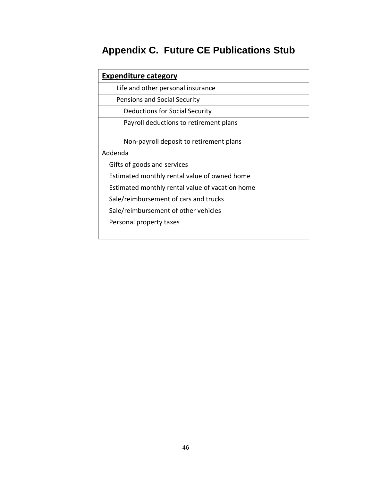| <b>Expenditure category</b>                     |  |  |  |
|-------------------------------------------------|--|--|--|
| Life and other personal insurance               |  |  |  |
| Pensions and Social Security                    |  |  |  |
| Deductions for Social Security                  |  |  |  |
| Payroll deductions to retirement plans          |  |  |  |
| Non-payroll deposit to retirement plans         |  |  |  |
| Addenda                                         |  |  |  |
| Gifts of goods and services                     |  |  |  |
| Estimated monthly rental value of owned home    |  |  |  |
| Estimated monthly rental value of vacation home |  |  |  |
| Sale/reimbursement of cars and trucks           |  |  |  |
| Sale/reimbursement of other vehicles            |  |  |  |
| Personal property taxes                         |  |  |  |
|                                                 |  |  |  |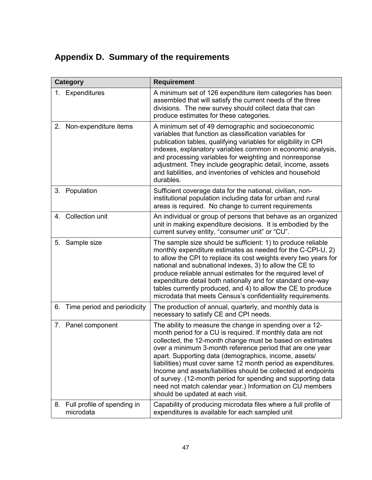## **Appendix D. Summary of the requirements**

| Category |                                          | <b>Requirement</b>                                                                                                                                                                                                                                                                                                                                                                                                                                                                                                                                                                                           |
|----------|------------------------------------------|--------------------------------------------------------------------------------------------------------------------------------------------------------------------------------------------------------------------------------------------------------------------------------------------------------------------------------------------------------------------------------------------------------------------------------------------------------------------------------------------------------------------------------------------------------------------------------------------------------------|
|          | 1. Expenditures                          | A minimum set of 126 expenditure item categories has been<br>assembled that will satisfy the current needs of the three<br>divisions. The new survey should collect data that can<br>produce estimates for these categories.                                                                                                                                                                                                                                                                                                                                                                                 |
|          | 2. Non-expenditure items                 | A minimum set of 49 demographic and socioeconomic<br>variables that function as classification variables for<br>publication tables, qualifying variables for eligibility in CPI<br>indexes, explanatory variables common in economic analysis,<br>and processing variables for weighting and nonresponse<br>adjustment. They include geographic detail, income, assets<br>and liabilities, and inventories of vehicles and household<br>durables.                                                                                                                                                            |
|          | 3. Population                            | Sufficient coverage data for the national, civilian, non-<br>institutional population including data for urban and rural<br>areas is required. No change to current requirements                                                                                                                                                                                                                                                                                                                                                                                                                             |
|          | 4. Collection unit                       | An individual or group of persons that behave as an organized<br>unit in making expenditure decisions. It is embodied by the<br>current survey entity, "consumer unit" or "CU".                                                                                                                                                                                                                                                                                                                                                                                                                              |
|          | 5. Sample size                           | The sample size should be sufficient: 1) to produce reliable<br>monthly expenditure estimates as needed for the C-CPI-U, 2)<br>to allow the CPI to replace its cost weights every two years for<br>national and subnational indexes, 3) to allow the CE to<br>produce reliable annual estimates for the required level of<br>expenditure detail both nationally and for standard one-way<br>tables currently produced, and 4) to allow the CE to produce<br>microdata that meets Census's confidentiality requirements.                                                                                      |
|          | 6. Time period and periodicity           | The production of annual, quarterly, and monthly data is<br>necessary to satisfy CE and CPI needs.                                                                                                                                                                                                                                                                                                                                                                                                                                                                                                           |
|          | 7. Panel component                       | The ability to measure the change in spending over a 12-<br>month period for a CU is required. If monthly data are not<br>collected, the 12-month change must be based on estimates<br>over a minimum 3-month reference period that are one year<br>apart. Supporting data (demographics, income, assets/<br>liabilities) must cover same 12 month period as expenditures.<br>Income and assets/liabilities should be collected at endpoints<br>of survey. (12-month period for spending and supporting data<br>need not match calendar year.) Information on CU members<br>should be updated at each visit. |
| 8.       | Full profile of spending in<br>microdata | Capability of producing microdata files where a full profile of<br>expenditures is available for each sampled unit                                                                                                                                                                                                                                                                                                                                                                                                                                                                                           |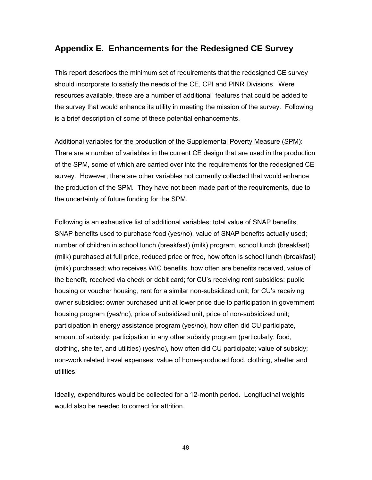#### **Appendix E. Enhancements for the Redesigned CE Survey**

This report describes the minimum set of requirements that the redesigned CE survey should incorporate to satisfy the needs of the CE, CPI and PINR Divisions. Were resources available, these are a number of additional features that could be added to the survey that would enhance its utility in meeting the mission of the survey. Following is a brief description of some of these potential enhancements.

Additional variables for the production of the Supplemental Poverty Measure (SPM): There are a number of variables in the current CE design that are used in the production of the SPM, some of which are carried over into the requirements for the redesigned CE survey. However, there are other variables not currently collected that would enhance the production of the SPM. They have not been made part of the requirements, due to the uncertainty of future funding for the SPM.

Following is an exhaustive list of additional variables: total value of SNAP benefits, SNAP benefits used to purchase food (yes/no), value of SNAP benefits actually used; number of children in school lunch (breakfast) (milk) program, school lunch (breakfast) (milk) purchased at full price, reduced price or free, how often is school lunch (breakfast) (milk) purchased; who receives WIC benefits, how often are benefits received, value of the benefit, received via check or debit card; for CU's receiving rent subsidies: public housing or voucher housing, rent for a similar non-subsidized unit; for CU's receiving owner subsidies: owner purchased unit at lower price due to participation in government housing program (yes/no), price of subsidized unit, price of non-subsidized unit; participation in energy assistance program (yes/no), how often did CU participate, amount of subsidy; participation in any other subsidy program (particularly, food, clothing, shelter, and utilities) (yes/no), how often did CU participate; value of subsidy; non-work related travel expenses; value of home-produced food, clothing, shelter and utilities.

Ideally, expenditures would be collected for a 12-month period. Longitudinal weights would also be needed to correct for attrition.